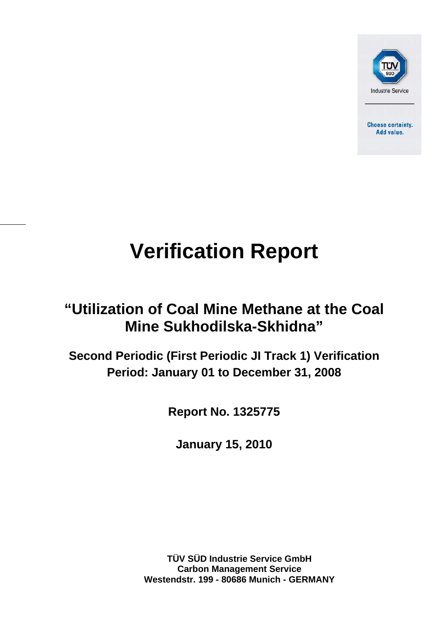

**Choose certainty.** Add value.

# **Verification Report**

## **"Utilization of Coal Mine Methane at the Coal Mine Sukhodilska-Skhidna"**

**Second Periodic (First Periodic JI Track 1) Verification Period: January 01 to December 31, 2008** 

**Report No. 1325775** 

**January 15, 2010** 

**TÜV SÜD Industrie Service GmbH Carbon Management Service Westendstr. 199 - 80686 Munich - GERMANY**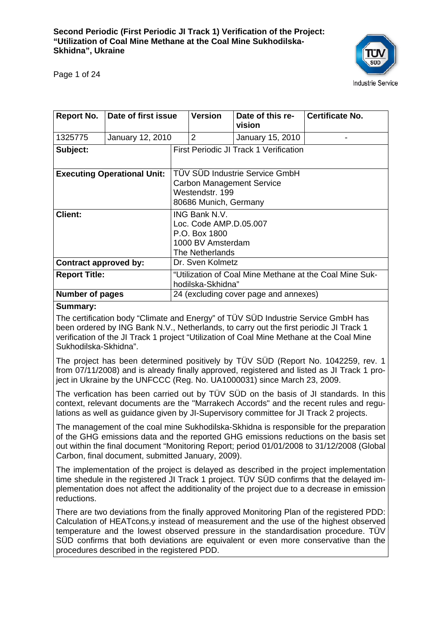

Page 1 of 24

| Report No.                         | Date of first issue |                                                                                                                | <b>Version</b>                         | Date of this re-<br>vision | <b>Certificate No.</b> |
|------------------------------------|---------------------|----------------------------------------------------------------------------------------------------------------|----------------------------------------|----------------------------|------------------------|
| 1325775                            | January 12, 2010    |                                                                                                                | $\overline{2}$                         | January 15, 2010           |                        |
| Subject:                           |                     |                                                                                                                | First Periodic JI Track 1 Verification |                            |                        |
| <b>Executing Operational Unit:</b> |                     | <b>TÜV SÜD Industrie Service GmbH</b><br>Carbon Management Service<br>Westendstr. 199<br>80686 Munich, Germany |                                        |                            |                        |
| <b>Client:</b>                     |                     | <b>ING Bank N.V.</b><br>Loc. Code AMP.D.05.007<br>P.O. Box 1800<br>1000 BV Amsterdam<br>The Netherlands        |                                        |                            |                        |
| Contract approved by:              |                     | Dr. Sven Kolmetz                                                                                               |                                        |                            |                        |
| <b>Report Title:</b>               |                     | "Utilization of Coal Mine Methane at the Coal Mine Suk-<br>hodilska-Skhidna"                                   |                                        |                            |                        |
| <b>Number of pages</b>             |                     | 24 (excluding cover page and annexes)                                                                          |                                        |                            |                        |

#### **Summary:**

The certification body "Climate and Energy" of TÜV SÜD Industrie Service GmbH has been ordered by ING Bank N.V., Netherlands, to carry out the first periodic JI Track 1 verification of the JI Track 1 project "Utilization of Coal Mine Methane at the Coal Mine Sukhodilska-Skhidna".

The project has been determined positively by TÜV SÜD (Report No. 1042259, rev. 1 from 07/11/2008) and is already finally approved, registered and listed as JI Track 1 project in Ukraine by the UNFCCC (Reg. No. UA1000031) since March 23, 2009.

The verfication has been carried out by TÜV SÜD on the basis of JI standards. In this context, relevant documents are the "Marrakech Accords" and the recent rules and regulations as well as guidance given by JI-Supervisory committee for JI Track 2 projects.

The management of the coal mine Sukhodilska-Skhidna is responsible for the preparation of the GHG emissions data and the reported GHG emissions reductions on the basis set out within the final document "Monitoring Report; period 01/01/2008 to 31/12/2008 (Global Carbon, final document, submitted January, 2009).

The implementation of the project is delayed as described in the project implementation time shedule in the registered JI Track 1 project. TÜV SÜD confirms that the delayed implementation does not affect the additionality of the project due to a decrease in emission reductions.

There are two deviations from the finally approved Monitoring Plan of the registered PDD: Calculation of HEATcons,y instead of measurement and the use of the highest observed temperature and the lowest observed pressure in the standardisation procedure. TÜV SÜD confirms that both deviations are equivalent or even more conservative than the procedures described in the registered PDD.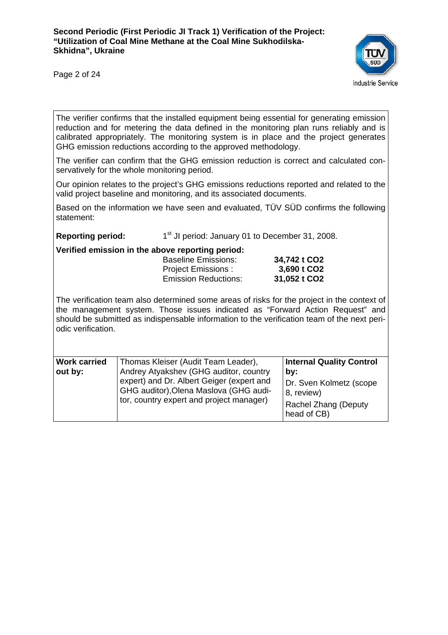

Page 2 of 24

The verifier confirms that the installed equipment being essential for generating emission reduction and for metering the data defined in the monitoring plan runs reliably and is calibrated appropriately. The monitoring system is in place and the project generates GHG emission reductions according to the approved methodology.

The verifier can confirm that the GHG emission reduction is correct and calculated conservatively for the whole monitoring period.

Our opinion relates to the project's GHG emissions reductions reported and related to the valid project baseline and monitoring, and its associated documents.

Based on the information we have seen and evaluated, TÜV SÜD confirms the following statement:

**Reporting period:** 1<sup>st</sup> JI period: January 01 to December 31, 2008.

**Verified emission in the above reporting period:** 

| <u>. Allian Allianial III ill and an a la han ill a hall an</u> |              |
|-----------------------------------------------------------------|--------------|
| <b>Baseline Emissions:</b>                                      | 34,742 t CO2 |
| <b>Project Emissions:</b>                                       | 3,690 t CO2  |
| <b>Emission Reductions:</b>                                     | 31,052 t CO2 |

The verification team also determined some areas of risks for the project in the context of the management system. Those issues indicated as "Forward Action Request" and should be submitted as indispensable information to the verification team of the next periodic verification.

| <b>Work carried</b> | Thomas Kleiser (Audit Team Leader),                                                                                             | <b>Internal Quality Control</b>                                              |
|---------------------|---------------------------------------------------------------------------------------------------------------------------------|------------------------------------------------------------------------------|
| out by:             | Andrey Atyakshev (GHG auditor, country                                                                                          | by:                                                                          |
|                     | expert) and Dr. Albert Geiger (expert and<br>GHG auditor), Olena Maslova (GHG audi-<br>tor, country expert and project manager) | Dr. Sven Kolmetz (scope<br>8, review)<br>Rachel Zhang (Deputy<br>head of CB) |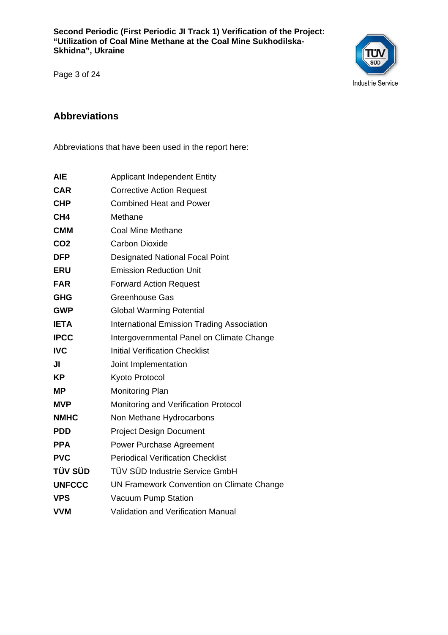

Page 3 of 24

#### **Abbreviations**

Abbreviations that have been used in the report here:

| <b>AIE</b>      | <b>Applicant Independent Entity</b>               |
|-----------------|---------------------------------------------------|
| <b>CAR</b>      | <b>Corrective Action Request</b>                  |
| <b>CHP</b>      | <b>Combined Heat and Power</b>                    |
| CH <sub>4</sub> | Methane                                           |
| <b>CMM</b>      | <b>Coal Mine Methane</b>                          |
| CO <sub>2</sub> | <b>Carbon Dioxide</b>                             |
| <b>DFP</b>      | <b>Designated National Focal Point</b>            |
| <b>ERU</b>      | <b>Emission Reduction Unit</b>                    |
| <b>FAR</b>      | <b>Forward Action Request</b>                     |
| <b>GHG</b>      | <b>Greenhouse Gas</b>                             |
| <b>GWP</b>      | <b>Global Warming Potential</b>                   |
| <b>IETA</b>     | <b>International Emission Trading Association</b> |
| <b>IPCC</b>     | Intergovernmental Panel on Climate Change         |
| <b>IVC</b>      | <b>Initial Verification Checklist</b>             |
| JI              | Joint Implementation                              |
| KP              | Kyoto Protocol                                    |
| MΡ              | <b>Monitoring Plan</b>                            |
| <b>MVP</b>      | Monitoring and Verification Protocol              |
| <b>NMHC</b>     | Non Methane Hydrocarbons                          |
| <b>PDD</b>      | <b>Project Design Document</b>                    |
| <b>PPA</b>      | <b>Power Purchase Agreement</b>                   |
| <b>PVC</b>      | <b>Periodical Verification Checklist</b>          |
| TÜV SÜD         | TÜV SÜD Industrie Service GmbH                    |
| <b>UNFCCC</b>   | UN Framework Convention on Climate Change         |
| <b>VPS</b>      | Vacuum Pump Station                               |
| <b>VVM</b>      | <b>Validation and Verification Manual</b>         |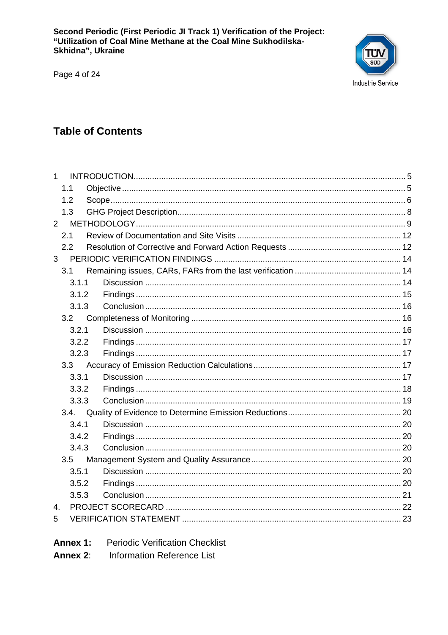Page 4 of 24



## **Table of Contents**

| $\mathbf{1}$   |                  |  |
|----------------|------------------|--|
|                | 1.1              |  |
|                | 1.2              |  |
|                | 1.3              |  |
| $\overline{2}$ |                  |  |
|                | 2.1              |  |
|                | 2.2              |  |
| 3 <sup>1</sup> |                  |  |
|                | 3.1              |  |
|                | 3.1.1            |  |
|                | 3.1.2            |  |
|                | 3.1.3            |  |
|                | 3.2              |  |
|                | 3.2.1            |  |
|                | 3.2.2            |  |
|                | 3.2.3            |  |
|                | 3.3 <sub>2</sub> |  |
|                | 3.3.1            |  |
|                | 3.3.2            |  |
|                | 3.3.3            |  |
|                | 3.4.             |  |
|                | 3.4.1            |  |
|                | 3.4.2            |  |
|                | 3.4.3            |  |
|                | 3.5              |  |
|                | 3.5.1            |  |
|                | 3.5.2            |  |
|                | 3.5.3            |  |
| 4.             |                  |  |
| 5              |                  |  |
|                |                  |  |

- **Periodic Verification Checklist** Annex 1:
- **Information Reference List** Annex 2: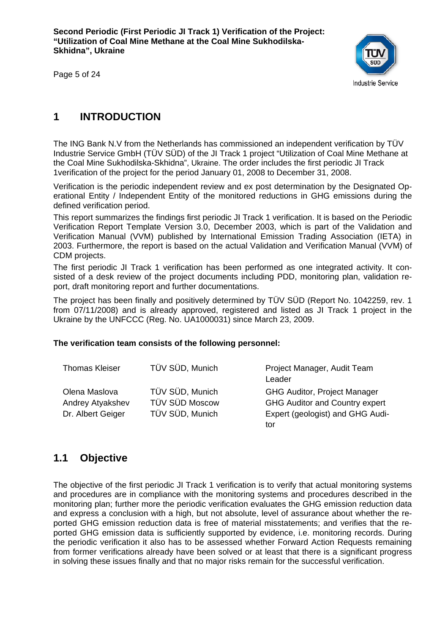

Page 5 of 24

## **1 INTRODUCTION**

The ING Bank N.V from the Netherlands has commissioned an independent verification by TÜV Industrie Service GmbH (TÜV SÜD) of the JI Track 1 project "Utilization of Coal Mine Methane at the Coal Mine Sukhodilska-Skhidna", Ukraine. The order includes the first periodic JI Track 1verification of the project for the period January 01, 2008 to December 31, 2008.

Verification is the periodic independent review and ex post determination by the Designated Operational Entity / Independent Entity of the monitored reductions in GHG emissions during the defined verification period.

This report summarizes the findings first periodic JI Track 1 verification. It is based on the Periodic Verification Report Template Version 3.0, December 2003, which is part of the Validation and Verification Manual (VVM) published by International Emission Trading Association (IETA) in 2003. Furthermore, the report is based on the actual Validation and Verification Manual (VVM) of CDM projects.

The first periodic JI Track 1 verification has been performed as one integrated activity. It consisted of a desk review of the project documents including PDD, monitoring plan, validation report, draft monitoring report and further documentations.

The project has been finally and positively determined by TÜV SÜD (Report No. 1042259, rev. 1 from 07/11/2008) and is already approved, registered and listed as JI Track 1 project in the Ukraine by the UNFCCC (Reg. No. UA1000031) since March 23, 2009.

#### **The verification team consists of the following personnel:**

| Thomas Kleiser          | TÜV SÜD, Munich | Project Manager, Audit Team<br>Leader |
|-------------------------|-----------------|---------------------------------------|
| Olena Maslova           | TÜV SÜD, Munich | <b>GHG Auditor, Project Manager</b>   |
| <b>Andrey Atyakshev</b> | TÜV SÜD Moscow  | <b>GHG Auditor and Country expert</b> |
| Dr. Albert Geiger       | TÜV SÜD, Munich | Expert (geologist) and GHG Audi-      |
|                         |                 | tor                                   |

## **1.1 Objective**

The objective of the first periodic JI Track 1 verification is to verify that actual monitoring systems and procedures are in compliance with the monitoring systems and procedures described in the monitoring plan; further more the periodic verification evaluates the GHG emission reduction data and express a conclusion with a high, but not absolute, level of assurance about whether the reported GHG emission reduction data is free of material misstatements; and verifies that the reported GHG emission data is sufficiently supported by evidence, i.e. monitoring records. During the periodic verification it also has to be assessed whether Forward Action Requests remaining from former verifications already have been solved or at least that there is a significant progress in solving these issues finally and that no major risks remain for the successful verification.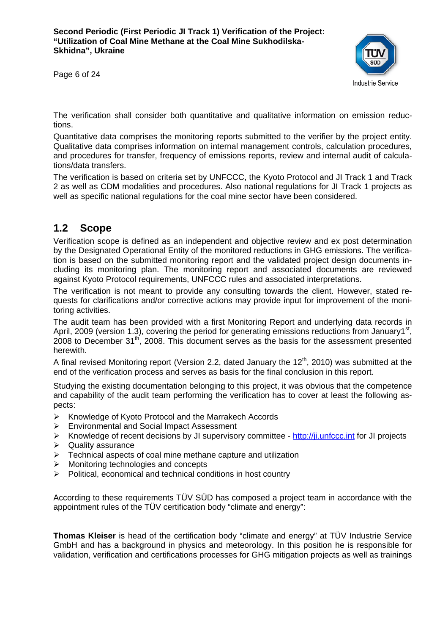Page 6 of 24



The verification shall consider both quantitative and qualitative information on emission reductions.

Quantitative data comprises the monitoring reports submitted to the verifier by the project entity. Qualitative data comprises information on internal management controls, calculation procedures, and procedures for transfer, frequency of emissions reports, review and internal audit of calculations/data transfers.

The verification is based on criteria set by UNFCCC, the Kyoto Protocol and JI Track 1 and Track 2 as well as CDM modalities and procedures. Also national regulations for JI Track 1 projects as well as specific national regulations for the coal mine sector have been considered.

## **1.2 Scope**

Verification scope is defined as an independent and objective review and ex post determination by the Designated Operational Entity of the monitored reductions in GHG emissions. The verification is based on the submitted monitoring report and the validated project design documents including its monitoring plan. The monitoring report and associated documents are reviewed against Kyoto Protocol requirements, UNFCCC rules and associated interpretations.

The verification is not meant to provide any consulting towards the client. However, stated requests for clarifications and/or corrective actions may provide input for improvement of the monitoring activities.

The audit team has been provided with a first Monitoring Report and underlying data records in April, 2009 (version 1.3), covering the period for generating emissions reductions from January1<sup>st</sup>, 2008 to December  $31<sup>th</sup>$ , 2008. This document serves as the basis for the assessment presented herewith.

A final revised Monitoring report (Version 2.2, dated January the  $12<sup>th</sup>$ , 2010) was submitted at the end of the verification process and serves as basis for the final conclusion in this report.

Studying the existing documentation belonging to this project, it was obvious that the competence and capability of the audit team performing the verification has to cover at least the following aspects:

- ¾ Knowledge of Kyoto Protocol and the Marrakech Accords
- ¾ Environmental and Social Impact Assessment
- $\triangleright$  Knowledge of recent decisions by JI supervisory committee http://ji.unfccc.int for JI projects
- $\triangleright$  Quality assurance
- $\triangleright$  Technical aspects of coal mine methane capture and utilization
- $\triangleright$  Monitoring technologies and concepts
- $\triangleright$  Political, economical and technical conditions in host country

According to these requirements TÜV SÜD has composed a project team in accordance with the appointment rules of the TÜV certification body "climate and energy":

**Thomas Kleiser** is head of the certification body "climate and energy" at TÜV Industrie Service GmbH and has a background in physics and meteorology. In this position he is responsible for validation, verification and certifications processes for GHG mitigation projects as well as trainings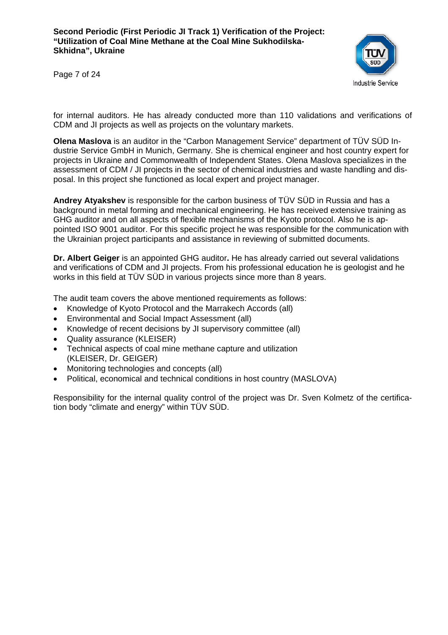**Industrie Service** 

Page 7 of 24

for internal auditors. He has already conducted more than 110 validations and verifications of CDM and JI projects as well as projects on the voluntary markets.

**Olena Maslova** is an auditor in the "Carbon Management Service" department of TÜV SÜD Industrie Service GmbH in Munich, Germany. She is chemical engineer and host country expert for projects in Ukraine and Commonwealth of Independent States. Olena Maslova specializes in the assessment of CDM / JI projects in the sector of chemical industries and waste handling and disposal. In this project she functioned as local expert and project manager.

**Andrey Atyakshev** is responsible for the carbon business of TÜV SÜD in Russia and has a background in metal forming and mechanical engineering. He has received extensive training as GHG auditor and on all aspects of flexible mechanisms of the Kyoto protocol. Also he is appointed ISO 9001 auditor. For this specific project he was responsible for the communication with the Ukrainian project participants and assistance in reviewing of submitted documents.

**Dr. Albert Geiger** is an appointed GHG auditor**.** He has already carried out several validations and verifications of CDM and JI projects. From his professional education he is geologist and he works in this field at TÜV SÜD in various projects since more than 8 years.

The audit team covers the above mentioned requirements as follows:

- Knowledge of Kyoto Protocol and the Marrakech Accords (all)
- Environmental and Social Impact Assessment (all)
- Knowledge of recent decisions by JI supervisory committee (all)
- Quality assurance (KLEISER)
- Technical aspects of coal mine methane capture and utilization (KLEISER, Dr. GEIGER)
- Monitoring technologies and concepts (all)
- Political, economical and technical conditions in host country (MASLOVA)

Responsibility for the internal quality control of the project was Dr. Sven Kolmetz of the certification body "climate and energy" within TÜV SÜD.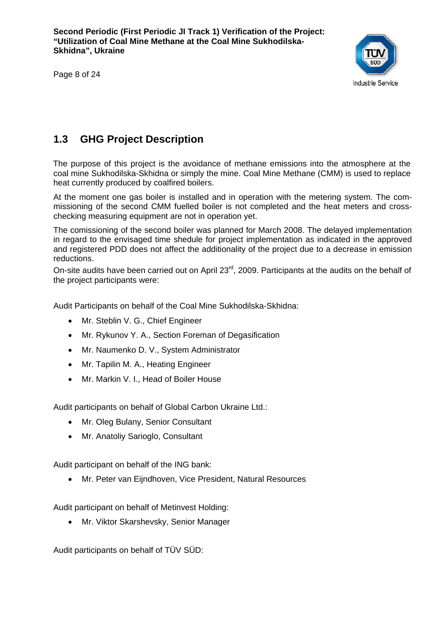Page 8 of 24



## **1.3 GHG Project Description**

The purpose of this project is the avoidance of methane emissions into the atmosphere at the coal mine Sukhodilska-Skhidna or simply the mine. Coal Mine Methane (CMM) is used to replace heat currently produced by coalfired boilers.

At the moment one gas boiler is installed and in operation with the metering system. The commissioning of the second CMM fuelled boiler is not completed and the heat meters and crosschecking measuring equipment are not in operation yet.

The comissioning of the second boiler was planned for March 2008. The delayed implementation in regard to the envisaged time shedule for project implementation as indicated in the approved and registered PDD does not affect the additionality of the project due to a decrease in emission reductions.

On-site audits have been carried out on April 23<sup>rd</sup>, 2009. Participants at the audits on the behalf of the project participants were:

Audit Participants on behalf of the Coal Mine Sukhodilska-Skhidna:

- Mr. Steblin V. G., Chief Engineer
- Mr. Rykunov Y. A., Section Foreman of Degasification
- Mr. Naumenko D. V., System Administrator
- Mr. Tapilin M. A., Heating Engineer
- Mr. Markin V. I., Head of Boiler House

Audit participants on behalf of Global Carbon Ukraine Ltd.:

- Mr. Oleg Bulany, Senior Consultant
- Mr. Anatoliy Sarioglo, Consultant

Audit participant on behalf of the ING bank:

• Mr. Peter van Eijndhoven, Vice President, Natural Resources

Audit participant on behalf of Metinvest Holding:

• Mr. Viktor Skarshevsky, Senior Manager

Audit participants on behalf of TÜV SÜD: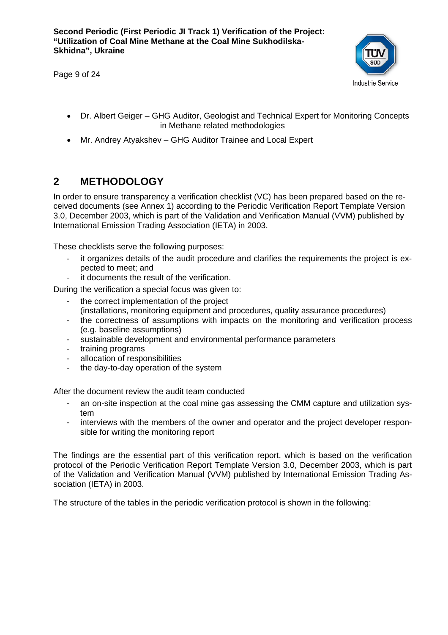Page 9 of 24



- Dr. Albert Geiger GHG Auditor, Geologist and Technical Expert for Monitoring Concepts in Methane related methodologies
- Mr. Andrey Atyakshev GHG Auditor Trainee and Local Expert

## **2 METHODOLOGY**

In order to ensure transparency a verification checklist (VC) has been prepared based on the received documents (see Annex 1) according to the Periodic Verification Report Template Version 3.0, December 2003, which is part of the Validation and Verification Manual (VVM) published by International Emission Trading Association (IETA) in 2003.

These checklists serve the following purposes:

- it organizes details of the audit procedure and clarifies the requirements the project is expected to meet; and
- it documents the result of the verification.
- During the verification a special focus was given to:
	- the correct implementation of the project
	- (installations, monitoring equipment and procedures, quality assurance procedures)
	- the correctness of assumptions with impacts on the monitoring and verification process (e.g. baseline assumptions)
	- sustainable development and environmental performance parameters
	- training programs
	- allocation of responsibilities
	- the day-to-day operation of the system

After the document review the audit team conducted

- an on-site inspection at the coal mine gas assessing the CMM capture and utilization system
- interviews with the members of the owner and operator and the project developer responsible for writing the monitoring report

The findings are the essential part of this verification report, which is based on the verification protocol of the Periodic Verification Report Template Version 3.0, December 2003, which is part of the Validation and Verification Manual (VVM) published by International Emission Trading Association (IETA) in 2003.

The structure of the tables in the periodic verification protocol is shown in the following: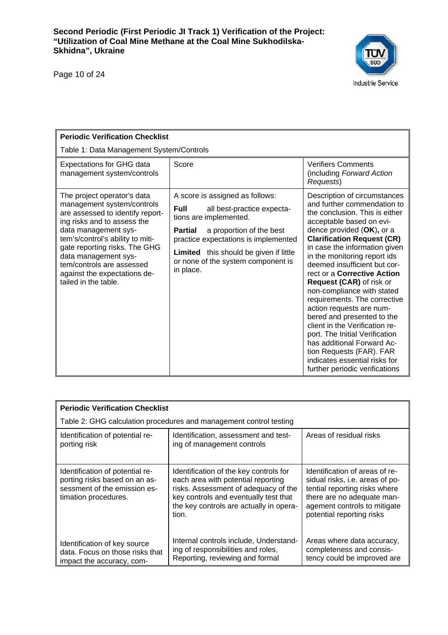Page 10 of 24



| <b>Periodic Verification Checklist</b>                                                                                                                                                                                                                                                                                                 |                                                                                                                                                                                                                                                                                                  |                                                                                                                                                                                                                                                                                                                                                                                                                                                                                                                                                                                                                                                                                  |  |  |  |
|----------------------------------------------------------------------------------------------------------------------------------------------------------------------------------------------------------------------------------------------------------------------------------------------------------------------------------------|--------------------------------------------------------------------------------------------------------------------------------------------------------------------------------------------------------------------------------------------------------------------------------------------------|----------------------------------------------------------------------------------------------------------------------------------------------------------------------------------------------------------------------------------------------------------------------------------------------------------------------------------------------------------------------------------------------------------------------------------------------------------------------------------------------------------------------------------------------------------------------------------------------------------------------------------------------------------------------------------|--|--|--|
|                                                                                                                                                                                                                                                                                                                                        | Table 1: Data Management System/Controls                                                                                                                                                                                                                                                         |                                                                                                                                                                                                                                                                                                                                                                                                                                                                                                                                                                                                                                                                                  |  |  |  |
| <b>Expectations for GHG data</b><br>management system/controls                                                                                                                                                                                                                                                                         | Score                                                                                                                                                                                                                                                                                            | <b>Verifiers Comments</b><br>(including Forward Action<br>Requests)                                                                                                                                                                                                                                                                                                                                                                                                                                                                                                                                                                                                              |  |  |  |
| The project operator's data<br>management system/controls<br>are assessed to identify report-<br>ing risks and to assess the<br>data management sys-<br>tem's/control's ability to miti-<br>gate reporting risks. The GHG<br>data management sys-<br>tem/controls are assessed<br>against the expectations de-<br>tailed in the table. | A score is assigned as follows:<br><b>Full</b><br>all best-practice expecta-<br>tions are implemented.<br>a proportion of the best<br><b>Partial</b><br>practice expectations is implemented<br><b>Limited</b> this should be given if little<br>or none of the system component is<br>in place. | Description of circumstances<br>and further commendation to<br>the conclusion. This is either<br>acceptable based on evi-<br>dence provided (OK), or a<br><b>Clarification Request (CR)</b><br>in case the information given<br>in the monitoring report ids<br>deemed insufficient but cor-<br>rect or a Corrective Action<br>Request (CAR) of risk or<br>non-compliance with stated<br>requirements. The corrective<br>action requests are num-<br>bered and presented to the<br>client in the Verification re-<br>port. The Initial Verification<br>has additional Forward Ac-<br>tion Requests (FAR). FAR<br>indicates essential risks for<br>further periodic verifications |  |  |  |

| <b>Periodic Verification Checklist</b>                                                                                   |                                                                                                                                                                                                                   |                                                                                                                                                                                               |  |  |
|--------------------------------------------------------------------------------------------------------------------------|-------------------------------------------------------------------------------------------------------------------------------------------------------------------------------------------------------------------|-----------------------------------------------------------------------------------------------------------------------------------------------------------------------------------------------|--|--|
| Table 2: GHG calculation procedures and management control testing                                                       |                                                                                                                                                                                                                   |                                                                                                                                                                                               |  |  |
| Identification of potential re-<br>porting risk                                                                          | Identification, assessment and test-<br>ing of management controls                                                                                                                                                | Areas of residual risks                                                                                                                                                                       |  |  |
| Identification of potential re-<br>porting risks based on an as-<br>sessment of the emission es-<br>timation procedures. | Identification of the key controls for<br>each area with potential reporting<br>risks. Assessment of adequacy of the<br>key controls and eventually test that<br>the key controls are actually in opera-<br>tion. | Identification of areas of re-<br>sidual risks, i.e. areas of po-<br>tential reporting risks where<br>there are no adequate man-<br>agement controls to mitigate<br>potential reporting risks |  |  |
| Identification of key source<br>data. Focus on those risks that<br>impact the accuracy, com-                             | Internal controls include, Understand-<br>ing of responsibilities and roles,<br>Reporting, reviewing and formal                                                                                                   | Areas where data accuracy,<br>completeness and consis-<br>tency could be improved are                                                                                                         |  |  |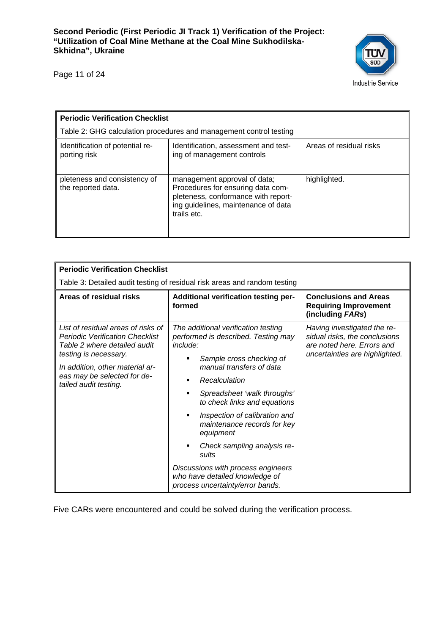

Page 11 of 24

| <b>Periodic Verification Checklist</b>             |                                                                                                                                                                |                         |  |  |
|----------------------------------------------------|----------------------------------------------------------------------------------------------------------------------------------------------------------------|-------------------------|--|--|
|                                                    | Table 2: GHG calculation procedures and management control testing                                                                                             |                         |  |  |
| Identification of potential re-<br>porting risk    | Identification, assessment and test-<br>ing of management controls                                                                                             | Areas of residual risks |  |  |
| pleteness and consistency of<br>the reported data. | management approval of data;<br>Procedures for ensuring data com-<br>pleteness, conformance with report-<br>ing guidelines, maintenance of data<br>trails etc. | highlighted.            |  |  |

| <b>Periodic Verification Checklist</b>                                                                                                                                                                                           |                                                                                                                                                                                                                                                                                                                                                                                                                                                                      |                                                                                                                              |  |  |  |
|----------------------------------------------------------------------------------------------------------------------------------------------------------------------------------------------------------------------------------|----------------------------------------------------------------------------------------------------------------------------------------------------------------------------------------------------------------------------------------------------------------------------------------------------------------------------------------------------------------------------------------------------------------------------------------------------------------------|------------------------------------------------------------------------------------------------------------------------------|--|--|--|
| Table 3: Detailed audit testing of residual risk areas and random testing                                                                                                                                                        |                                                                                                                                                                                                                                                                                                                                                                                                                                                                      |                                                                                                                              |  |  |  |
| Areas of residual risks                                                                                                                                                                                                          | Additional verification testing per-<br>formed                                                                                                                                                                                                                                                                                                                                                                                                                       | <b>Conclusions and Areas</b><br><b>Requiring Improvement</b><br>(including FARs)                                             |  |  |  |
| List of residual areas of risks of<br><b>Periodic Verification Checklist</b><br>Table 2 where detailed audit<br>testing is necessary.<br>In addition, other material ar-<br>eas may be selected for de-<br>tailed audit testing. | The additional verification testing<br>performed is described. Testing may<br>include:<br>Sample cross checking of<br>manual transfers of data<br>Recalculation<br>Spreadsheet 'walk throughs'<br>to check links and equations<br>Inspection of calibration and<br>٠<br>maintenance records for key<br>equipment<br>Check sampling analysis re-<br>sults<br>Discussions with process engineers<br>who have detailed knowledge of<br>process uncertainty/error bands. | Having investigated the re-<br>sidual risks, the conclusions<br>are noted here. Errors and<br>uncertainties are highlighted. |  |  |  |

Five CARs were encountered and could be solved during the verification process.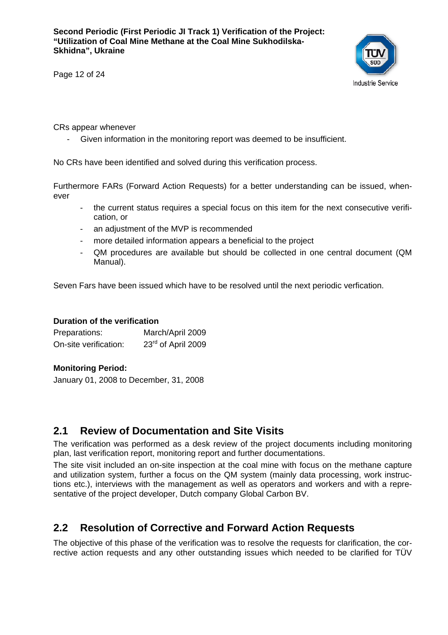

Page 12 of 24

CRs appear whenever

- Given information in the monitoring report was deemed to be insufficient.

No CRs have been identified and solved during this verification process.

Furthermore FARs (Forward Action Requests) for a better understanding can be issued, whenever

- the current status requires a special focus on this item for the next consecutive verification, or
- an adjustment of the MVP is recommended
- more detailed information appears a beneficial to the project
- QM procedures are available but should be collected in one central document (QM Manual).

Seven Fars have been issued which have to be resolved until the next periodic verfication.

#### **Duration of the verification**

| Preparations:         | March/April 2009               |
|-----------------------|--------------------------------|
| On-site verification: | 23 <sup>rd</sup> of April 2009 |

#### **Monitoring Period:**

January 01, 2008 to December, 31, 2008

#### **2.1 Review of Documentation and Site Visits**

The verification was performed as a desk review of the project documents including monitoring plan, last verification report, monitoring report and further documentations.

The site visit included an on-site inspection at the coal mine with focus on the methane capture and utilization system, further a focus on the QM system (mainly data processing, work instructions etc.), interviews with the management as well as operators and workers and with a representative of the project developer, Dutch company Global Carbon BV.

## **2.2 Resolution of Corrective and Forward Action Requests**

The objective of this phase of the verification was to resolve the requests for clarification, the corrective action requests and any other outstanding issues which needed to be clarified for TÜV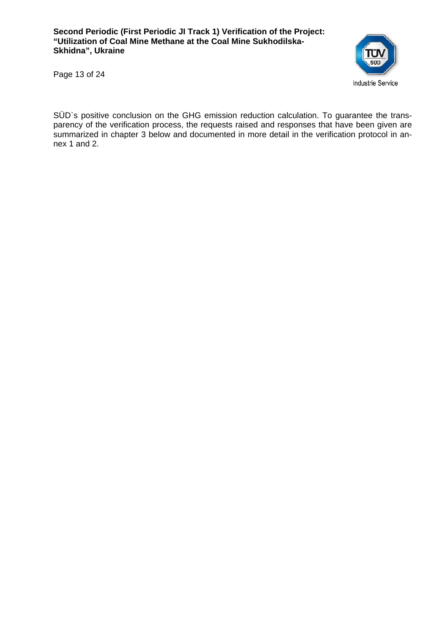

Page 13 of 24

SÜD`s positive conclusion on the GHG emission reduction calculation. To guarantee the transparency of the verification process, the requests raised and responses that have been given are summarized in chapter 3 below and documented in more detail in the verification protocol in annex 1 and 2.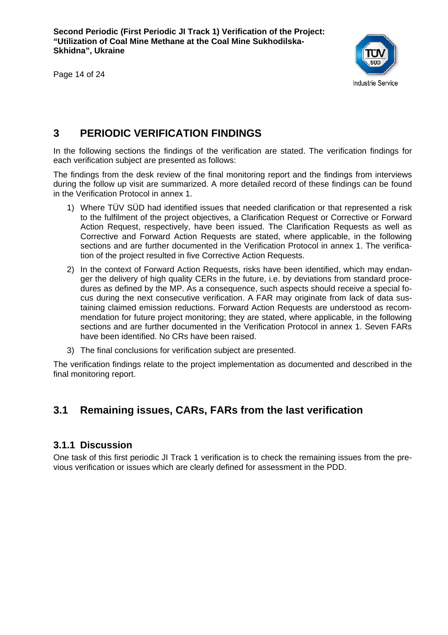Page 14 of 24



## **3 PERIODIC VERIFICATION FINDINGS**

In the following sections the findings of the verification are stated. The verification findings for each verification subject are presented as follows:

The findings from the desk review of the final monitoring report and the findings from interviews during the follow up visit are summarized. A more detailed record of these findings can be found in the Verification Protocol in annex 1.

- 1) Where TÜV SÜD had identified issues that needed clarification or that represented a risk to the fulfilment of the project objectives, a Clarification Request or Corrective or Forward Action Request, respectively, have been issued. The Clarification Requests as well as Corrective and Forward Action Requests are stated, where applicable, in the following sections and are further documented in the Verification Protocol in annex 1. The verification of the project resulted in five Corrective Action Requests.
- 2) In the context of Forward Action Requests, risks have been identified, which may endanger the delivery of high quality CERs in the future, i.e. by deviations from standard procedures as defined by the MP. As a consequence, such aspects should receive a special focus during the next consecutive verification. A FAR may originate from lack of data sustaining claimed emission reductions. Forward Action Requests are understood as recommendation for future project monitoring; they are stated, where applicable, in the following sections and are further documented in the Verification Protocol in annex 1. Seven FARs have been identified. No CRs have been raised.
- 3) The final conclusions for verification subject are presented.

The verification findings relate to the project implementation as documented and described in the final monitoring report.

## **3.1 Remaining issues, CARs, FARs from the last verification**

#### **3.1.1 Discussion**

One task of this first periodic JI Track 1 verification is to check the remaining issues from the previous verification or issues which are clearly defined for assessment in the PDD.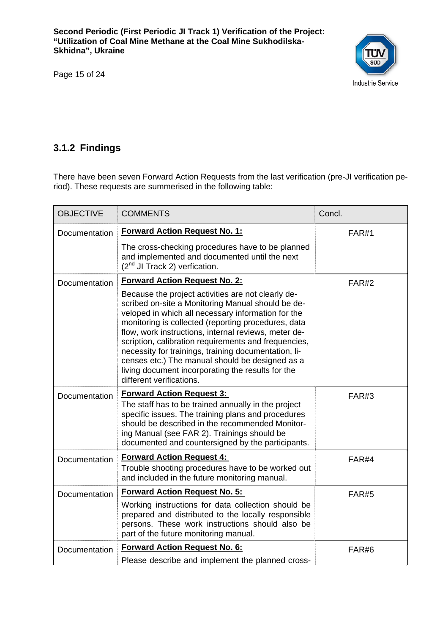Page 15 of 24



## **3.1.2 Findings**

There have been seven Forward Action Requests from the last verification (pre-JI verification period). These requests are summerised in the following table:

| <b>OBJECTIVE</b>     | <b>COMMENTS</b>                                                                                                                                                                                                                                                                                                                                                                                                                                                                                                                  | Concl.       |
|----------------------|----------------------------------------------------------------------------------------------------------------------------------------------------------------------------------------------------------------------------------------------------------------------------------------------------------------------------------------------------------------------------------------------------------------------------------------------------------------------------------------------------------------------------------|--------------|
| <b>Documentation</b> | <b>Forward Action Request No. 1:</b>                                                                                                                                                                                                                                                                                                                                                                                                                                                                                             | FAR#1        |
|                      | The cross-checking procedures have to be planned<br>and implemented and documented until the next<br>(2 <sup>nd</sup> JI Track 2) verfication.                                                                                                                                                                                                                                                                                                                                                                                   |              |
| Documentation        | <b>Forward Action Request No. 2:</b>                                                                                                                                                                                                                                                                                                                                                                                                                                                                                             | <b>FAR#2</b> |
|                      | Because the project activities are not clearly de-<br>scribed on-site a Monitoring Manual should be de-<br>veloped in which all necessary information for the<br>monitoring is collected (reporting procedures, data<br>flow, work instructions, internal reviews, meter de-<br>scription, calibration requirements and frequencies,<br>necessity for trainings, training documentation, li-<br>censes etc.) The manual should be designed as a<br>living document incorporating the results for the<br>different verifications. |              |
| Documentation        | <b>Forward Action Request 3:</b><br>The staff has to be trained annually in the project<br>specific issues. The training plans and procedures<br>should be described in the recommended Monitor-<br>ing Manual (see FAR 2). Trainings should be<br>documented and countersigned by the participants.                                                                                                                                                                                                                             | FAR#3        |
| Documentation        | <b>Forward Action Request 4:</b><br>Trouble shooting procedures have to be worked out<br>and included in the future monitoring manual.                                                                                                                                                                                                                                                                                                                                                                                           | FAR#4        |
| Documentation        | <b>Forward Action Request No. 5:</b>                                                                                                                                                                                                                                                                                                                                                                                                                                                                                             | <b>FAR#5</b> |
|                      | Working instructions for data collection should be<br>prepared and distributed to the locally responsible<br>persons. These work instructions should also be<br>part of the future monitoring manual.                                                                                                                                                                                                                                                                                                                            |              |
| Documentation        | <b>Forward Action Request No. 6:</b>                                                                                                                                                                                                                                                                                                                                                                                                                                                                                             | FAR#6        |
|                      | Please describe and implement the planned cross-                                                                                                                                                                                                                                                                                                                                                                                                                                                                                 |              |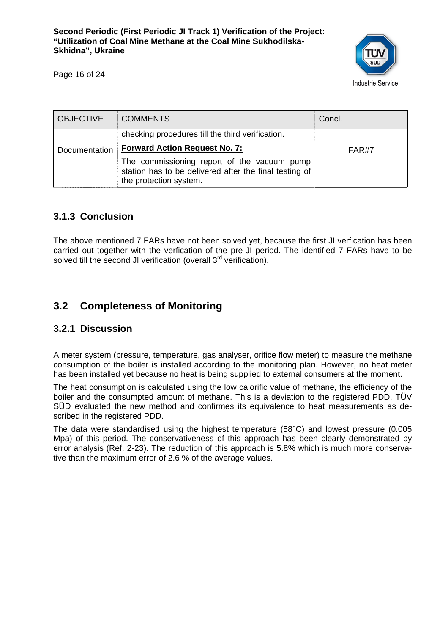

Page 16 of 24

| <b>OBJECTIVE</b> | <b>COMMENTS</b>                                                                                                                 | Concl. |
|------------------|---------------------------------------------------------------------------------------------------------------------------------|--------|
|                  | checking procedures till the third verification.                                                                                |        |
| Documentation    | <b>Forward Action Request No. 7:</b>                                                                                            | FAR#7  |
|                  | The commissioning report of the vacuum pump<br>station has to be delivered after the final testing of<br>the protection system. |        |

#### **3.1.3 Conclusion**

The above mentioned 7 FARs have not been solved yet, because the first JI verfication has been carried out together with the verfication of the pre-JI period. The identified 7 FARs have to be solved till the second JI verification (overall 3<sup>rd</sup> verification).

## **3.2 Completeness of Monitoring**

#### **3.2.1 Discussion**

A meter system (pressure, temperature, gas analyser, orifice flow meter) to measure the methane consumption of the boiler is installed according to the monitoring plan. However, no heat meter has been installed yet because no heat is being supplied to external consumers at the moment.

The heat consumption is calculated using the low calorific value of methane, the efficiency of the boiler and the consumpted amount of methane. This is a deviation to the registered PDD. TÜV SÜD evaluated the new method and confirmes its equivalence to heat measurements as described in the registered PDD.

The data were standardised using the highest temperature (58°C) and lowest pressure (0.005 Mpa) of this period. The conservativeness of this approach has been clearly demonstrated by error analysis (Ref. 2-23). The reduction of this approach is 5.8% which is much more conservative than the maximum error of 2.6 % of the average values.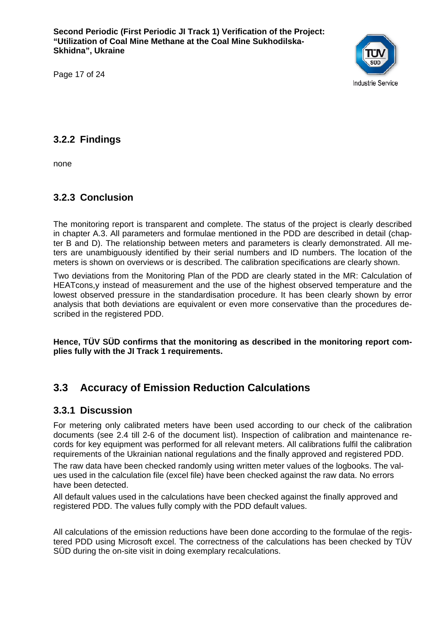

Page 17 of 24

### **3.2.2 Findings**

none

## **3.2.3 Conclusion**

The monitoring report is transparent and complete. The status of the project is clearly described in chapter A.3. All parameters and formulae mentioned in the PDD are described in detail (chapter B and D). The relationship between meters and parameters is clearly demonstrated. All meters are unambiguously identified by their serial numbers and ID numbers. The location of the meters is shown on overviews or is described. The calibration specifications are clearly shown.

Two deviations from the Monitoring Plan of the PDD are clearly stated in the MR: Calculation of HEATcons,y instead of measurement and the use of the highest observed temperature and the lowest observed pressure in the standardisation procedure. It has been clearly shown by error analysis that both deviations are equivalent or even more conservative than the procedures described in the registered PDD.

**Hence, TÜV SÜD confirms that the monitoring as described in the monitoring report complies fully with the JI Track 1 requirements.** 

## **3.3 Accuracy of Emission Reduction Calculations**

#### **3.3.1 Discussion**

For metering only calibrated meters have been used according to our check of the calibration documents (see 2.4 till 2-6 of the document list). Inspection of calibration and maintenance records for key equipment was performed for all relevant meters. All calibrations fulfil the calibration requirements of the Ukrainian national regulations and the finally approved and registered PDD.

The raw data have been checked randomly using written meter values of the logbooks. The values used in the calculation file (excel file) have been checked against the raw data. No errors have been detected.

All default values used in the calculations have been checked against the finally approved and registered PDD. The values fully comply with the PDD default values.

All calculations of the emission reductions have been done according to the formulae of the registered PDD using Microsoft excel. The correctness of the calculations has been checked by TÜV SÜD during the on-site visit in doing exemplary recalculations.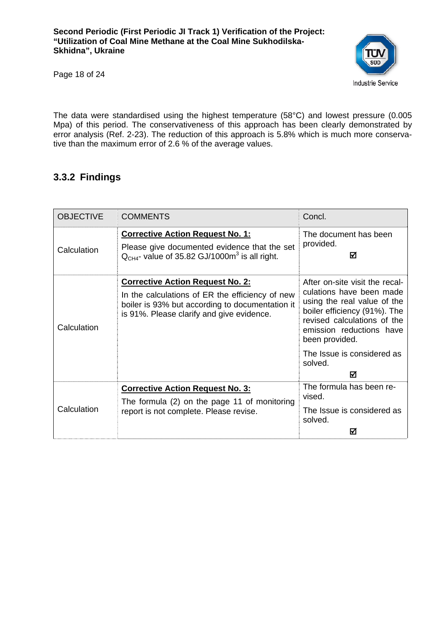

Page 18 of 24

The data were standardised using the highest temperature (58°C) and lowest pressure (0.005 Mpa) of this period. The conservativeness of this approach has been clearly demonstrated by error analysis (Ref. 2-23). The reduction of this approach is 5.8% which is much more conservative than the maximum error of 2.6 % of the average values.

## **3.3.2 Findings**

| <b>OBJECTIVE</b> | <b>COMMENTS</b>                                                                                                                                 | Concl.                                                                                                                                                               |  |
|------------------|-------------------------------------------------------------------------------------------------------------------------------------------------|----------------------------------------------------------------------------------------------------------------------------------------------------------------------|--|
| Calculation      | <b>Corrective Action Request No. 1:</b><br>Please give documented evidence that the set<br>$QCH4$ - value of 35.82 GJ/1000 $m3$ is all right.   | The document has been<br>provided.<br>М                                                                                                                              |  |
|                  | <b>Corrective Action Request No. 2:</b>                                                                                                         | After on-site visit the recal-                                                                                                                                       |  |
| Calculation      | In the calculations of ER the efficiency of new<br>boiler is 93% but according to documentation it<br>is 91%. Please clarify and give evidence. | culations have been made<br>using the real value of the<br>boiler efficiency (91%). The<br>revised calculations of the<br>emission reductions have<br>been provided. |  |
|                  |                                                                                                                                                 | The Issue is considered as<br>solved.                                                                                                                                |  |
|                  |                                                                                                                                                 | М                                                                                                                                                                    |  |
| Calculation      | <b>Corrective Action Request No. 3:</b><br>The formula (2) on the page 11 of monitoring                                                         | The formula has been re-<br>vised.                                                                                                                                   |  |
|                  | report is not complete. Please revise.                                                                                                          | The Issue is considered as<br>solved.                                                                                                                                |  |
|                  |                                                                                                                                                 | ☑                                                                                                                                                                    |  |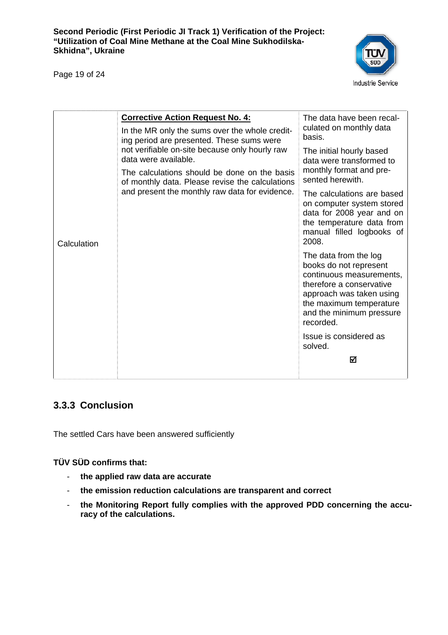Page 19 of 24



|             | <b>Corrective Action Request No. 4:</b><br>In the MR only the sums over the whole credit-<br>ing period are presented. These sums were<br>not verifiable on-site because only hourly raw<br>data were available.<br>The calculations should be done on the basis<br>of monthly data. Please revise the calculations<br>and present the monthly raw data for evidence. | The data have been recal-<br>culated on monthly data<br>basis.                                                                                                                                          |
|-------------|-----------------------------------------------------------------------------------------------------------------------------------------------------------------------------------------------------------------------------------------------------------------------------------------------------------------------------------------------------------------------|---------------------------------------------------------------------------------------------------------------------------------------------------------------------------------------------------------|
|             |                                                                                                                                                                                                                                                                                                                                                                       | The initial hourly based<br>data were transformed to                                                                                                                                                    |
|             |                                                                                                                                                                                                                                                                                                                                                                       | monthly format and pre-<br>sented herewith.                                                                                                                                                             |
| Calculation |                                                                                                                                                                                                                                                                                                                                                                       | The calculations are based<br>on computer system stored<br>data for 2008 year and on<br>the temperature data from<br>manual filled logbooks of<br>2008.                                                 |
|             |                                                                                                                                                                                                                                                                                                                                                                       | The data from the log<br>books do not represent<br>continuous measurements,<br>therefore a conservative<br>approach was taken using<br>the maximum temperature<br>and the minimum pressure<br>recorded. |
|             |                                                                                                                                                                                                                                                                                                                                                                       | Issue is considered as<br>solved.                                                                                                                                                                       |
|             |                                                                                                                                                                                                                                                                                                                                                                       | ☑                                                                                                                                                                                                       |
|             |                                                                                                                                                                                                                                                                                                                                                                       |                                                                                                                                                                                                         |

#### **3.3.3 Conclusion**

The settled Cars have been answered sufficiently

#### **TÜV SÜD confirms that:**

- **the applied raw data are accurate**
- **the emission reduction calculations are transparent and correct**
- **the Monitoring Report fully complies with the approved PDD concerning the accuracy of the calculations.**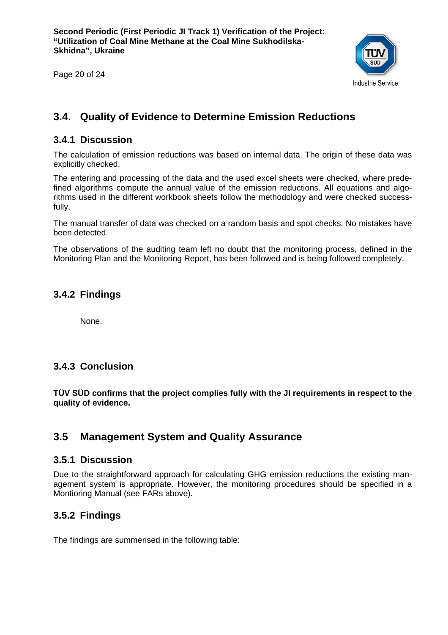Page 20 of 24



## **3.4. Quality of Evidence to Determine Emission Reductions**

#### **3.4.1 Discussion**

The calculation of emission reductions was based on internal data. The origin of these data was explicitly checked.

The entering and processing of the data and the used excel sheets were checked, where predefined algorithms compute the annual value of the emission reductions. All equations and algorithms used in the different workbook sheets follow the methodology and were checked successfully.

The manual transfer of data was checked on a random basis and spot checks. No mistakes have been detected.

The observations of the auditing team left no doubt that the monitoring process, defined in the Monitoring Plan and the Monitoring Report, has been followed and is being followed completely.

#### **3.4.2 Findings**

None.

#### **3.4.3 Conclusion**

**TÜV SÜD confirms that the project complies fully with the JI requirements in respect to the quality of evidence.** 

#### **3.5 Management System and Quality Assurance**

#### **3.5.1 Discussion**

Due to the straightforward approach for calculating GHG emission reductions the existing management system is appropriate. However, the monitoring procedures should be specified in a Montioring Manual (see FARs above).

#### **3.5.2 Findings**

The findings are summerised in the following table: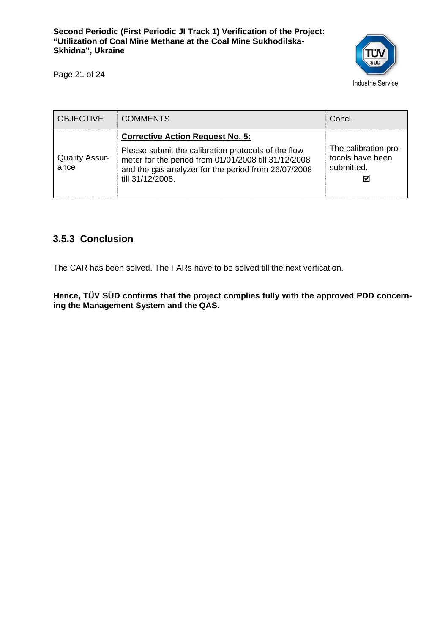Page 21 of 24



| <b>OBJECTIVE</b>              | <b>COMMENTS</b>                                                                                                                                                                                                                   | Concl.                                                      |
|-------------------------------|-----------------------------------------------------------------------------------------------------------------------------------------------------------------------------------------------------------------------------------|-------------------------------------------------------------|
| <b>Quality Assur-</b><br>ance | <b>Corrective Action Request No. 5:</b><br>Please submit the calibration protocols of the flow<br>meter for the period from 01/01/2008 till 31/12/2008<br>and the gas analyzer for the period from 26/07/2008<br>till 31/12/2008. | The calibration pro-<br>tocols have been<br>submitted.<br>⊠ |

## **3.5.3 Conclusion**

The CAR has been solved. The FARs have to be solved till the next verfication.

**Hence, TÜV SÜD confirms that the project complies fully with the approved PDD concerning the Management System and the QAS.**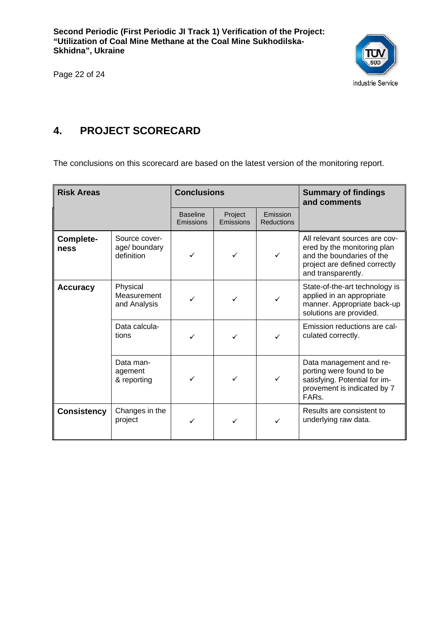

Page 22 of 24

## **4. PROJECT SCORECARD**

The conclusions on this scorecard are based on the latest version of the monitoring report.

| <b>Risk Areas</b>  |                                             | <b>Conclusions</b>           |                      | <b>Summary of findings</b><br>and comments |                                                                                                                                                  |
|--------------------|---------------------------------------------|------------------------------|----------------------|--------------------------------------------|--------------------------------------------------------------------------------------------------------------------------------------------------|
|                    |                                             | <b>Baseline</b><br>Emissions | Project<br>Emissions | Emission<br><b>Reductions</b>              |                                                                                                                                                  |
| Complete-<br>ness  | Source cover-<br>age/boundary<br>definition |                              | ✓                    | ✓                                          | All relevant sources are cov-<br>ered by the monitoring plan<br>and the boundaries of the<br>project are defined correctly<br>and transparently. |
| <b>Accuracy</b>    | Physical<br>Measurement<br>and Analysis     |                              |                      |                                            | State-of-the-art technology is<br>applied in an appropriate<br>manner. Appropriate back-up<br>solutions are provided.                            |
|                    | Data calcula-<br>tions                      |                              |                      |                                            | Emission reductions are cal-<br>culated correctly.                                                                                               |
|                    | Data man-<br>agement<br>& reporting         |                              |                      | ✓                                          | Data management and re-<br>porting were found to be<br>satisfying. Potential for im-<br>provement is indicated by 7<br>FAR <sub>S</sub>          |
| <b>Consistency</b> | Changes in the<br>project                   | ✓                            |                      |                                            | Results are consistent to<br>underlying raw data.                                                                                                |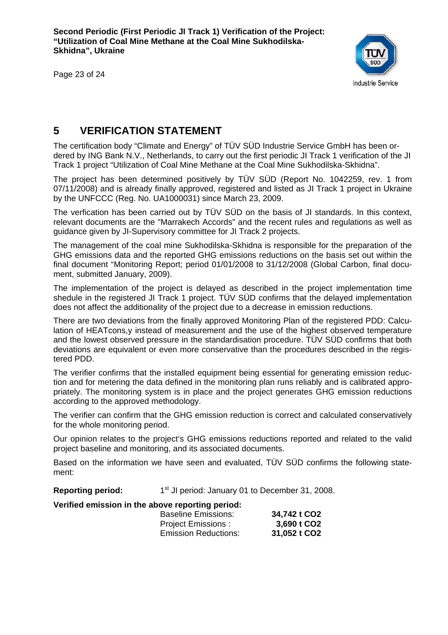Page 23 of 24



## **5 VERIFICATION STATEMENT**

The certification body "Climate and Energy" of TÜV SÜD Industrie Service GmbH has been ordered by ING Bank N.V., Netherlands, to carry out the first periodic JI Track 1 verification of the JI Track 1 project "Utilization of Coal Mine Methane at the Coal Mine Sukhodilska-Skhidna".

The project has been determined positively by TÜV SÜD (Report No. 1042259, rev. 1 from 07/11/2008) and is already finally approved, registered and listed as JI Track 1 project in Ukraine by the UNFCCC (Reg. No. UA1000031) since March 23, 2009.

The verfication has been carried out by TÜV SÜD on the basis of JI standards. In this context, relevant documents are the "Marrakech Accords" and the recent rules and regulations as well as guidance given by JI-Supervisory committee for JI Track 2 projects.

The management of the coal mine Sukhodilska-Skhidna is responsible for the preparation of the GHG emissions data and the reported GHG emissions reductions on the basis set out within the final document "Monitoring Report; period 01/01/2008 to 31/12/2008 (Global Carbon, final document, submitted January, 2009).

The implementation of the project is delayed as described in the project implementation time shedule in the registered JI Track 1 project. TÜV SÜD confirms that the delayed implementation does not affect the additionality of the project due to a decrease in emission reductions.

There are two deviations from the finally approved Monitoring Plan of the registered PDD: Calculation of HEATcons,y instead of measurement and the use of the highest observed temperature and the lowest observed pressure in the standardisation procedure. TÜV SÜD confirms that both deviations are equivalent or even more conservative than the procedures described in the registered PDD.

The verifier confirms that the installed equipment being essential for generating emission reduction and for metering the data defined in the monitoring plan runs reliably and is calibrated appropriately. The monitoring system is in place and the project generates GHG emission reductions according to the approved methodology.

The verifier can confirm that the GHG emission reduction is correct and calculated conservatively for the whole monitoring period.

Our opinion relates to the project's GHG emissions reductions reported and related to the valid project baseline and monitoring, and its associated documents.

Based on the information we have seen and evaluated, TÜV SÜD confirms the following statement:

**Reporting period:** 1<sup>st</sup> JI period: January 01 to December 31, 2008.

#### **Verified emission in the above reporting period:**

| <b>Baseline Emissions:</b>  | 34,742 t CO2 |
|-----------------------------|--------------|
| <b>Project Emissions:</b>   | 3,690 t CO2  |
| <b>Emission Reductions:</b> | 31,052 t CO2 |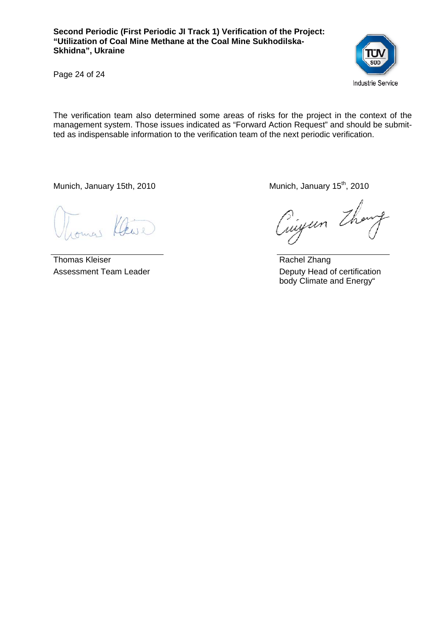

Page 24 of 24

The verification team also determined some areas of risks for the project in the context of the management system. Those issues indicated as "Forward Action Request" and should be submitted as indispensable information to the verification team of the next periodic verification.

Munich, January 15th, 2010 Munich, January 15<sup>th</sup>, 2010

mai Ceve

Thomas Kleiser Assessment Team Leader

Cingun Though

 Rachel Zhang Deputy Head of certification body Climate and Energy"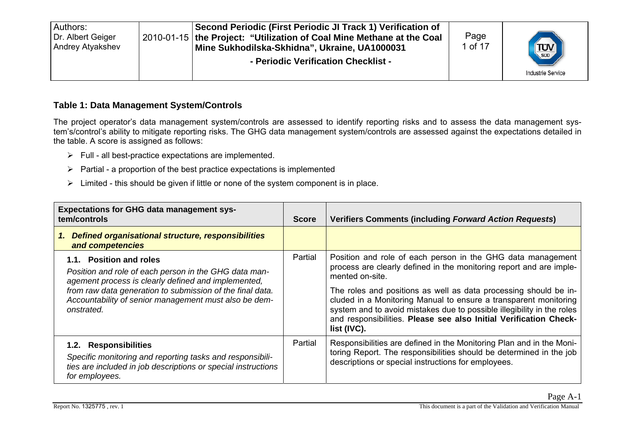| Second Periodic (First Periodic JI Track 1) Verification of<br>Authors:<br>Dr. Albert Geiger<br>2010-01-15 the Project: "Utilization of Coal Mine Methane at the Coal<br>Andrey Atyakshev<br>Mine Sukhodilska-Skhidna", Ukraine, UA1000031<br>- Periodic Verification Checklist - | Page<br>. of 17 | <b>TUV</b><br><b>Industrie Service</b> |
|-----------------------------------------------------------------------------------------------------------------------------------------------------------------------------------------------------------------------------------------------------------------------------------|-----------------|----------------------------------------|
|-----------------------------------------------------------------------------------------------------------------------------------------------------------------------------------------------------------------------------------------------------------------------------------|-----------------|----------------------------------------|

#### **Table 1: Data Management System/Controls**

The project operator's data management system/controls are assessed to identify reporting risks and to assess the data management system's/control's ability to mitigate reporting risks. The GHG data management system/controls are assessed against the expectations detailed in the table. A score is assigned as follows:

- $\triangleright$  Full all best-practice expectations are implemented.
- $\triangleright$  Partial a proportion of the best practice expectations is implemented
- $\triangleright$  Limited this should be given if little or none of the system component is in place.

| <b>Expectations for GHG data management sys-</b><br>tem/controls                                                                                                                                                                                                            |         | <b>Verifiers Comments (including Forward Action Requests)</b>                                                                                                                                                                                                                                                                                                                                                                                               |
|-----------------------------------------------------------------------------------------------------------------------------------------------------------------------------------------------------------------------------------------------------------------------------|---------|-------------------------------------------------------------------------------------------------------------------------------------------------------------------------------------------------------------------------------------------------------------------------------------------------------------------------------------------------------------------------------------------------------------------------------------------------------------|
| Defined organisational structure, responsibilities<br>1.<br>and competencies                                                                                                                                                                                                |         |                                                                                                                                                                                                                                                                                                                                                                                                                                                             |
| 1.1. Position and roles<br>Position and role of each person in the GHG data man-<br>agement process is clearly defined and implemented,<br>from raw data generation to submission of the final data.<br>Accountability of senior management must also be dem-<br>onstrated. | Partial | Position and role of each person in the GHG data management<br>process are clearly defined in the monitoring report and are imple-<br>mented on-site.<br>The roles and positions as well as data processing should be in-<br>cluded in a Monitoring Manual to ensure a transparent monitoring<br>system and to avoid mistakes due to possible illegibility in the roles<br>and responsibilities. Please see also Initial Verification Check-<br>list (IVC). |
| 1.2. Responsibilities<br>Specific monitoring and reporting tasks and responsibili-<br>ties are included in job descriptions or special instructions<br>for employees.                                                                                                       | Partial | Responsibilities are defined in the Monitoring Plan and in the Moni-<br>toring Report. The responsibilities should be determined in the job<br>descriptions or special instructions for employees.                                                                                                                                                                                                                                                          |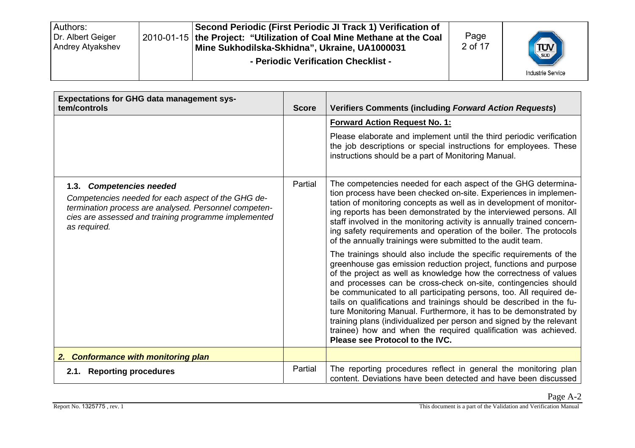| Second Periodic (First Periodic JI Track 1) Verification of<br>Authors:<br>Dr. Albert Geiger<br>2010-01-15 the Project: "Utilization of Coal Mine Methane at the Coal<br><b>Andrey Atyakshev</b><br>Mine Sukhodilska-Skhidna", Ukraine, UA1000031<br>- Periodic Verification Checklist - | Page<br>2 of 17 | <b>TUV</b><br><b>Industrie Service</b> |
|------------------------------------------------------------------------------------------------------------------------------------------------------------------------------------------------------------------------------------------------------------------------------------------|-----------------|----------------------------------------|
|------------------------------------------------------------------------------------------------------------------------------------------------------------------------------------------------------------------------------------------------------------------------------------------|-----------------|----------------------------------------|

| <b>Expectations for GHG data management sys-</b><br>tem/controls                                                                                                                                                | <b>Score</b> | <b>Verifiers Comments (including Forward Action Requests)</b>                                                                                                                                                                                                                                                                                                                                                                                                                                                                                                                                                                                                                  |
|-----------------------------------------------------------------------------------------------------------------------------------------------------------------------------------------------------------------|--------------|--------------------------------------------------------------------------------------------------------------------------------------------------------------------------------------------------------------------------------------------------------------------------------------------------------------------------------------------------------------------------------------------------------------------------------------------------------------------------------------------------------------------------------------------------------------------------------------------------------------------------------------------------------------------------------|
|                                                                                                                                                                                                                 |              | <b>Forward Action Request No. 1:</b><br>Please elaborate and implement until the third periodic verification                                                                                                                                                                                                                                                                                                                                                                                                                                                                                                                                                                   |
|                                                                                                                                                                                                                 |              | the job descriptions or special instructions for employees. These<br>instructions should be a part of Monitoring Manual.                                                                                                                                                                                                                                                                                                                                                                                                                                                                                                                                                       |
| 1.3. Competencies needed<br>Competencies needed for each aspect of the GHG de-<br>termination process are analysed. Personnel competen-<br>cies are assessed and training programme implemented<br>as required. | Partial      | The competencies needed for each aspect of the GHG determina-<br>tion process have been checked on-site. Experiences in implemen-<br>tation of monitoring concepts as well as in development of monitor-<br>ing reports has been demonstrated by the interviewed persons. All<br>staff involved in the monitoring activity is annually trained concern-<br>ing safety requirements and operation of the boiler. The protocols<br>of the annually trainings were submitted to the audit team.                                                                                                                                                                                   |
|                                                                                                                                                                                                                 |              | The trainings should also include the specific requirements of the<br>greenhouse gas emission reduction project, functions and purpose<br>of the project as well as knowledge how the correctness of values<br>and processes can be cross-check on-site, contingencies should<br>be communicated to all participating persons, too. All required de-<br>tails on qualifications and trainings should be described in the fu-<br>ture Monitoring Manual. Furthermore, it has to be demonstrated by<br>training plans (individualized per person and signed by the relevant<br>trainee) how and when the required qualification was achieved.<br>Please see Protocol to the IVC. |
| 2. Conformance with monitoring plan                                                                                                                                                                             |              |                                                                                                                                                                                                                                                                                                                                                                                                                                                                                                                                                                                                                                                                                |
| 2.1. Reporting procedures                                                                                                                                                                                       | Partial      | The reporting procedures reflect in general the monitoring plan<br>content. Deviations have been detected and have been discussed                                                                                                                                                                                                                                                                                                                                                                                                                                                                                                                                              |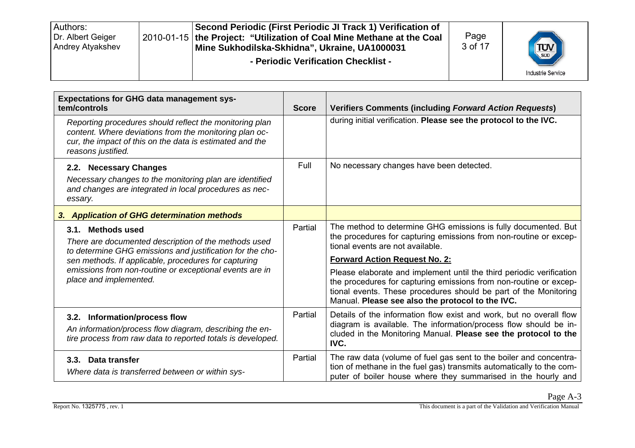| Second Periodic (First Periodic JI Track 1) Verification of<br>Authors:<br>Dr. Albert Geiger<br>2010-01-15   the Project: "Utilization of Coal Mine Methane at the Coal<br>Andrey Atyakshev<br>Mine Sukhodilska-Skhidna", Ukraine, UA1000031<br>- Periodic Verification Checklist - | Page<br>3 of 17 | <b>TUV</b><br><b>Industrie Service</b> |
|-------------------------------------------------------------------------------------------------------------------------------------------------------------------------------------------------------------------------------------------------------------------------------------|-----------------|----------------------------------------|
|-------------------------------------------------------------------------------------------------------------------------------------------------------------------------------------------------------------------------------------------------------------------------------------|-----------------|----------------------------------------|

| <b>Expectations for GHG data management sys-</b><br>tem/controls                                                                                                                                    |         | <b>Verifiers Comments (including Forward Action Requests)</b>                                                                                                                                                                                                     |
|-----------------------------------------------------------------------------------------------------------------------------------------------------------------------------------------------------|---------|-------------------------------------------------------------------------------------------------------------------------------------------------------------------------------------------------------------------------------------------------------------------|
| Reporting procedures should reflect the monitoring plan<br>content. Where deviations from the monitoring plan oc-<br>cur, the impact of this on the data is estimated and the<br>reasons justified. |         | during initial verification. Please see the protocol to the IVC.                                                                                                                                                                                                  |
| 2.2. Necessary Changes<br>Necessary changes to the monitoring plan are identified<br>and changes are integrated in local procedures as nec-<br>essary.                                              | Full    | No necessary changes have been detected.                                                                                                                                                                                                                          |
| 3. Application of GHG determination methods                                                                                                                                                         |         |                                                                                                                                                                                                                                                                   |
| 3.1. Methods used<br>There are documented description of the methods used<br>to determine GHG emissions and justification for the cho-                                                              | Partial | The method to determine GHG emissions is fully documented. But<br>the procedures for capturing emissions from non-routine or excep-<br>tional events are not available.                                                                                           |
| sen methods. If applicable, procedures for capturing                                                                                                                                                |         | <b>Forward Action Request No. 2:</b>                                                                                                                                                                                                                              |
| emissions from non-routine or exceptional events are in<br>place and implemented.                                                                                                                   |         | Please elaborate and implement until the third periodic verification<br>the procedures for capturing emissions from non-routine or excep-<br>tional events. These procedures should be part of the Monitoring<br>Manual. Please see also the protocol to the IVC. |
| 3.2. Information/process flow<br>An information/process flow diagram, describing the en-<br>tire process from raw data to reported totals is developed.                                             | Partial | Details of the information flow exist and work, but no overall flow<br>diagram is available. The information/process flow should be in-<br>cluded in the Monitoring Manual. Please see the protocol to the<br>IVC.                                                |
| 3.3. Data transfer<br>Where data is transferred between or within sys-                                                                                                                              | Partial | The raw data (volume of fuel gas sent to the boiler and concentra-<br>tion of methane in the fuel gas) transmits automatically to the com-<br>puter of boiler house where they summarised in the hourly and                                                       |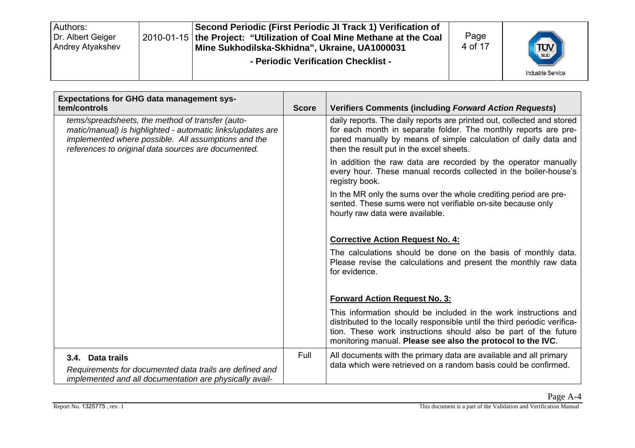| Authors:<br>Dr. Albert Geiger<br>Andrey Atyakshev | Second Periodic (First Periodic JI Track 1) Verification of<br>2010-01-15 the Project: "Utilization of Coal Mine Methane at the Coal<br>Mine Sukhodilska-Skhidna", Ukraine, UA1000031<br>- Periodic Verification Checklist - | Page<br>4 of 17 | <b>TUV</b><br><b>Industrie Service</b> |
|---------------------------------------------------|------------------------------------------------------------------------------------------------------------------------------------------------------------------------------------------------------------------------------|-----------------|----------------------------------------|
|                                                   |                                                                                                                                                                                                                              |                 |                                        |

| <b>Expectations for GHG data management sys-</b><br>tem/controls                                                                                                                                                             | <b>Score</b> | <b>Verifiers Comments (including Forward Action Requests)</b>                                                                                                                                                                                                                   |
|------------------------------------------------------------------------------------------------------------------------------------------------------------------------------------------------------------------------------|--------------|---------------------------------------------------------------------------------------------------------------------------------------------------------------------------------------------------------------------------------------------------------------------------------|
| tems/spreadsheets, the method of transfer (auto-<br>matic/manual) is highlighted - automatic links/updates are<br>implemented where possible. All assumptions and the<br>references to original data sources are documented. |              | daily reports. The daily reports are printed out, collected and stored<br>for each month in separate folder. The monthly reports are pre-<br>pared manually by means of simple calculation of daily data and<br>then the result put in the excel sheets.                        |
|                                                                                                                                                                                                                              |              | In addition the raw data are recorded by the operator manually<br>every hour. These manual records collected in the boiler-house's<br>registry book.                                                                                                                            |
|                                                                                                                                                                                                                              |              | In the MR only the sums over the whole crediting period are pre-<br>sented. These sums were not verifiable on-site because only<br>hourly raw data were available.                                                                                                              |
|                                                                                                                                                                                                                              |              | <b>Corrective Action Request No. 4:</b>                                                                                                                                                                                                                                         |
|                                                                                                                                                                                                                              |              | The calculations should be done on the basis of monthly data.<br>Please revise the calculations and present the monthly raw data<br>for evidence.                                                                                                                               |
|                                                                                                                                                                                                                              |              | <b>Forward Action Request No. 3:</b>                                                                                                                                                                                                                                            |
|                                                                                                                                                                                                                              |              | This information should be included in the work instructions and<br>distributed to the locally responsible until the third periodic verifica-<br>tion. These work instructions should also be part of the future<br>monitoring manual. Please see also the protocol to the IVC. |
| 3.4. Data trails<br>Requirements for documented data trails are defined and<br>implemented and all documentation are physically avail-                                                                                       | Full         | All documents with the primary data are available and all primary<br>data which were retrieved on a random basis could be confirmed.                                                                                                                                            |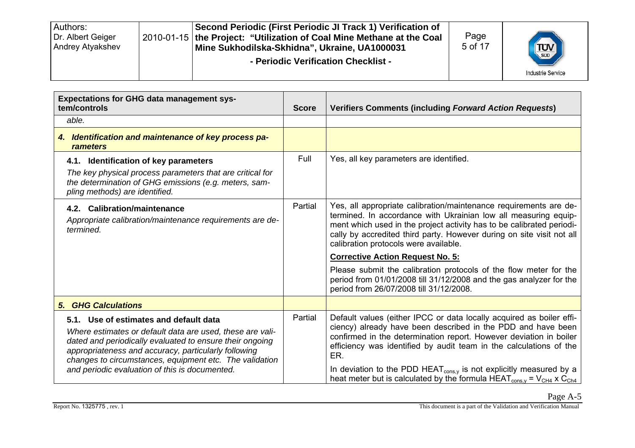| Second Periodic (First Periodic JI Track 1) Verification of<br>Authors:<br>Dr. Albert Geiger<br>2010-01-15 the Project: "Utilization of Coal Mine Methane at the Coal<br>Andrey Atyakshev<br>Mine Sukhodilska-Skhidna", Ukraine, UA1000031<br>- Periodic Verification Checklist - | Page<br>5 of 17 | <b>TUV</b><br><b>Industrie Service</b> |
|-----------------------------------------------------------------------------------------------------------------------------------------------------------------------------------------------------------------------------------------------------------------------------------|-----------------|----------------------------------------|
|-----------------------------------------------------------------------------------------------------------------------------------------------------------------------------------------------------------------------------------------------------------------------------------|-----------------|----------------------------------------|

| <b>Expectations for GHG data management sys-</b><br>tem/controls                                                                                                                                                                                                                                                                     |      | <b>Verifiers Comments (including Forward Action Requests)</b>                                                                                                                                                                                                                                                                                                                                                                                                                   |
|--------------------------------------------------------------------------------------------------------------------------------------------------------------------------------------------------------------------------------------------------------------------------------------------------------------------------------------|------|---------------------------------------------------------------------------------------------------------------------------------------------------------------------------------------------------------------------------------------------------------------------------------------------------------------------------------------------------------------------------------------------------------------------------------------------------------------------------------|
| able.                                                                                                                                                                                                                                                                                                                                |      |                                                                                                                                                                                                                                                                                                                                                                                                                                                                                 |
| 4. Identification and maintenance of key process pa-<br>rameters                                                                                                                                                                                                                                                                     |      |                                                                                                                                                                                                                                                                                                                                                                                                                                                                                 |
| 4.1. Identification of key parameters                                                                                                                                                                                                                                                                                                | Full | Yes, all key parameters are identified.                                                                                                                                                                                                                                                                                                                                                                                                                                         |
| The key physical process parameters that are critical for<br>the determination of GHG emissions (e.g. meters, sam-<br>pling methods) are identified.                                                                                                                                                                                 |      |                                                                                                                                                                                                                                                                                                                                                                                                                                                                                 |
| 4.2. Calibration/maintenance<br>Appropriate calibration/maintenance requirements are de-<br>termined.                                                                                                                                                                                                                                |      | Yes, all appropriate calibration/maintenance requirements are de-<br>termined. In accordance with Ukrainian low all measuring equip-<br>ment which used in the project activity has to be calibrated periodi-<br>cally by accredited third party. However during on site visit not all<br>calibration protocols were available.                                                                                                                                                 |
|                                                                                                                                                                                                                                                                                                                                      |      | <b>Corrective Action Request No. 5:</b>                                                                                                                                                                                                                                                                                                                                                                                                                                         |
|                                                                                                                                                                                                                                                                                                                                      |      | Please submit the calibration protocols of the flow meter for the<br>period from 01/01/2008 till 31/12/2008 and the gas analyzer for the<br>period from 26/07/2008 till 31/12/2008.                                                                                                                                                                                                                                                                                             |
| <b>5. GHG Calculations</b>                                                                                                                                                                                                                                                                                                           |      |                                                                                                                                                                                                                                                                                                                                                                                                                                                                                 |
| 5.1. Use of estimates and default data<br>Where estimates or default data are used, these are vali-<br>dated and periodically evaluated to ensure their ongoing<br>appropriateness and accuracy, particularly following<br>changes to circumstances, equipment etc. The validation<br>and periodic evaluation of this is documented. |      | Default values (either IPCC or data locally acquired as boiler effi-<br>ciency) already have been described in the PDD and have been<br>confirmed in the determination report. However deviation in boiler<br>efficiency was identified by audit team in the calculations of the<br>ER.<br>In deviation to the PDD HEAT $_{\text{cons},y}$ is not explicitly measured by a<br>heat meter but is calculated by the formula HEAT <sub>cons,y</sub> = $V_{CH4}$ x C <sub>Ch4</sub> |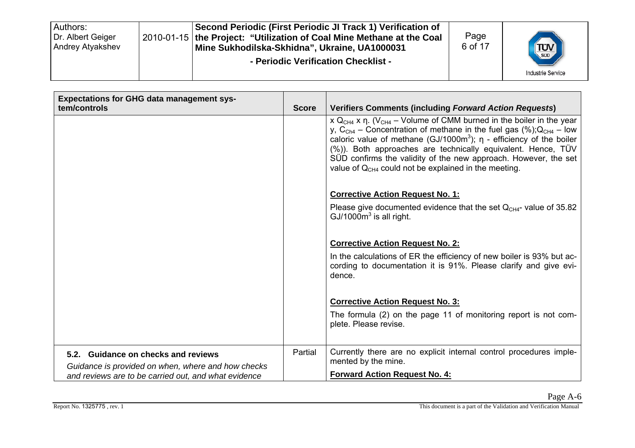| Second Periodic (First Periodic JI Track 1) Verification of<br>Authors:<br>Dr. Albert Geiger<br>2010-01-15 the Project: "Utilization of Coal Mine Methane at the Coal<br>Andrey Atyakshev<br>Mine Sukhodilska-Skhidna", Ukraine, UA1000031<br>- Periodic Verification Checklist - | Page<br>6 of 17 | <b>TUV</b><br><b>Industrie Service</b> |
|-----------------------------------------------------------------------------------------------------------------------------------------------------------------------------------------------------------------------------------------------------------------------------------|-----------------|----------------------------------------|
|-----------------------------------------------------------------------------------------------------------------------------------------------------------------------------------------------------------------------------------------------------------------------------------|-----------------|----------------------------------------|

| <b>Expectations for GHG data management sys-</b><br>tem/controls                                           | <b>Score</b> | <b>Verifiers Comments (including Forward Action Requests)</b>                                                                                                                                                                                                                                                                                                                                                                                                                        |
|------------------------------------------------------------------------------------------------------------|--------------|--------------------------------------------------------------------------------------------------------------------------------------------------------------------------------------------------------------------------------------------------------------------------------------------------------------------------------------------------------------------------------------------------------------------------------------------------------------------------------------|
|                                                                                                            |              | x $Q_{CH4}$ x $\eta$ . (V <sub>CH4</sub> – Volume of CMM burned in the boiler in the year<br>y, C <sub>Ch4</sub> – Concentration of methane in the fuel gas $(\%)$ ; Q <sub>CH4</sub> – low<br>caloric value of methane (GJ/1000m <sup>3</sup> ); $\eta$ - efficiency of the boiler<br>$(\%)$ ). Both approaches are technically equivalent. Hence, TÜV<br>SUD confirms the validity of the new approach. However, the set<br>value of $QCH4$ could not be explained in the meeting. |
|                                                                                                            |              | <b>Corrective Action Request No. 1:</b><br>Please give documented evidence that the set $QCH4$ - value of 35.82<br>$GJ/1000m3$ is all right.                                                                                                                                                                                                                                                                                                                                         |
|                                                                                                            |              | <b>Corrective Action Request No. 2:</b>                                                                                                                                                                                                                                                                                                                                                                                                                                              |
|                                                                                                            |              | In the calculations of ER the efficiency of new boiler is 93% but ac-<br>cording to documentation it is 91%. Please clarify and give evi-<br>dence.                                                                                                                                                                                                                                                                                                                                  |
|                                                                                                            |              | <b>Corrective Action Request No. 3:</b>                                                                                                                                                                                                                                                                                                                                                                                                                                              |
|                                                                                                            |              | The formula (2) on the page 11 of monitoring report is not com-<br>plete. Please revise.                                                                                                                                                                                                                                                                                                                                                                                             |
| 5.2. Guidance on checks and reviews                                                                        | Partial      | Currently there are no explicit internal control procedures imple-<br>mented by the mine.                                                                                                                                                                                                                                                                                                                                                                                            |
| Guidance is provided on when, where and how checks<br>and reviews are to be carried out, and what evidence |              | <b>Forward Action Request No. 4:</b>                                                                                                                                                                                                                                                                                                                                                                                                                                                 |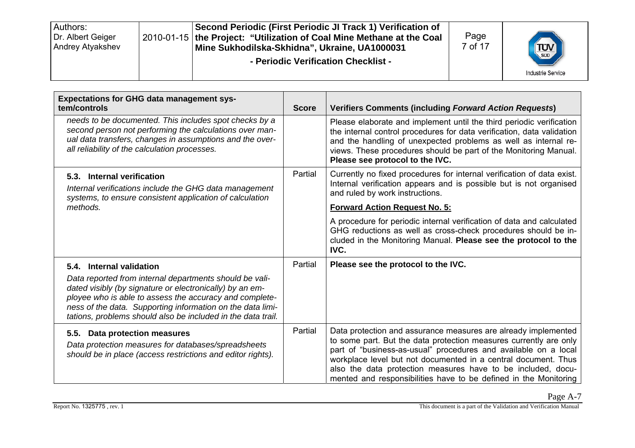| Second Periodic (First Periodic JI Track 1) Verification of<br>Authors:<br>Dr. Albert Geiger<br>2010-01-15 the Project: "Utilization of Coal Mine Methane at the Coal<br>Andrey Atyakshev<br>Mine Sukhodilska-Skhidna", Ukraine, UA1000031<br>- Periodic Verification Checklist - | Page<br>7 of 17 | <b>TUV</b><br><b>Industrie Service</b> |
|-----------------------------------------------------------------------------------------------------------------------------------------------------------------------------------------------------------------------------------------------------------------------------------|-----------------|----------------------------------------|
|-----------------------------------------------------------------------------------------------------------------------------------------------------------------------------------------------------------------------------------------------------------------------------------|-----------------|----------------------------------------|

| <b>Expectations for GHG data management sys-</b><br>tem/controls                                                                                                                                                                                                                                                                         | <b>Score</b> | <b>Verifiers Comments (including Forward Action Requests)</b>                                                                                                                                                                                                                                                                                                                                                |
|------------------------------------------------------------------------------------------------------------------------------------------------------------------------------------------------------------------------------------------------------------------------------------------------------------------------------------------|--------------|--------------------------------------------------------------------------------------------------------------------------------------------------------------------------------------------------------------------------------------------------------------------------------------------------------------------------------------------------------------------------------------------------------------|
| needs to be documented. This includes spot checks by a<br>second person not performing the calculations over man-<br>ual data transfers, changes in assumptions and the over-<br>all reliability of the calculation processes.                                                                                                           |              | Please elaborate and implement until the third periodic verification<br>the internal control procedures for data verification, data validation<br>and the handling of unexpected problems as well as internal re-<br>views. These procedures should be part of the Monitoring Manual.<br>Please see protocol to the IVC.                                                                                     |
| 5.3. Internal verification<br>Internal verifications include the GHG data management<br>systems, to ensure consistent application of calculation                                                                                                                                                                                         | Partial      | Currently no fixed procedures for internal verification of data exist.<br>Internal verification appears and is possible but is not organised<br>and ruled by work instructions.                                                                                                                                                                                                                              |
| methods.                                                                                                                                                                                                                                                                                                                                 |              | <b>Forward Action Request No. 5:</b>                                                                                                                                                                                                                                                                                                                                                                         |
|                                                                                                                                                                                                                                                                                                                                          |              | A procedure for periodic internal verification of data and calculated<br>GHG reductions as well as cross-check procedures should be in-<br>cluded in the Monitoring Manual. Please see the protocol to the<br>IVC.                                                                                                                                                                                           |
| 5.4. Internal validation<br>Data reported from internal departments should be vali-<br>dated visibly (by signature or electronically) by an em-<br>ployee who is able to assess the accuracy and complete-<br>ness of the data. Supporting information on the data limi-<br>tations, problems should also be included in the data trail. | Partial      | Please see the protocol to the IVC.                                                                                                                                                                                                                                                                                                                                                                          |
| 5.5. Data protection measures<br>Data protection measures for databases/spreadsheets<br>should be in place (access restrictions and editor rights).                                                                                                                                                                                      | Partial      | Data protection and assurance measures are already implemented<br>to some part. But the data protection measures currently are only<br>part of "business-as-usual" procedures and available on a local<br>workplace level but not documented in a central document. Thus<br>also the data protection measures have to be included, docu-<br>mented and responsibilities have to be defined in the Monitoring |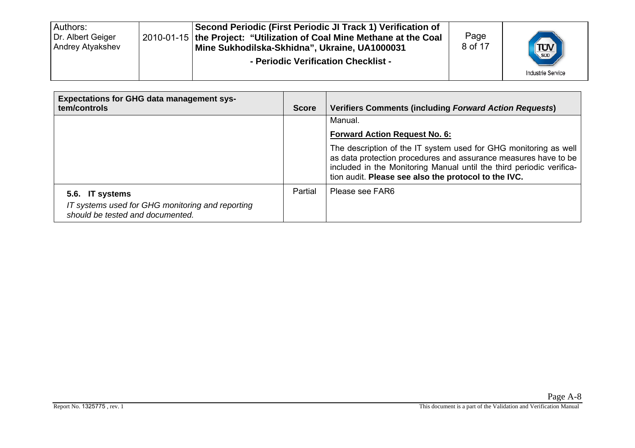| Authors:<br>Second Periodic (First Periodic JI Track 1) Verification of<br>Dr. Albert Geiger<br>2010-01-15 the Project: "Utilization of Coal Mine Methane at the Coal<br><b>Andrey Atyakshev</b><br>Mine Sukhodilska-Skhidna", Ukraine, UA1000031<br>- Periodic Verification Checklist - | Page<br>8 of 17 | <b>TUV</b><br><b>Industrie Service</b> |
|------------------------------------------------------------------------------------------------------------------------------------------------------------------------------------------------------------------------------------------------------------------------------------------|-----------------|----------------------------------------|
|------------------------------------------------------------------------------------------------------------------------------------------------------------------------------------------------------------------------------------------------------------------------------------------|-----------------|----------------------------------------|

| <b>Expectations for GHG data management sys-</b><br>tem/controls                     | <b>Score</b> | <b>Verifiers Comments (including Forward Action Requests)</b>                                                                                                                                                                                                       |
|--------------------------------------------------------------------------------------|--------------|---------------------------------------------------------------------------------------------------------------------------------------------------------------------------------------------------------------------------------------------------------------------|
|                                                                                      |              | Manual.                                                                                                                                                                                                                                                             |
|                                                                                      |              | <b>Forward Action Request No. 6:</b>                                                                                                                                                                                                                                |
|                                                                                      |              | The description of the IT system used for GHG monitoring as well<br>as data protection procedures and assurance measures have to be<br>included in the Monitoring Manual until the third periodic verifica-<br>tion audit. Please see also the protocol to the IVC. |
| 5.6. IT systems                                                                      | Partial      | Please see FAR6                                                                                                                                                                                                                                                     |
| IT systems used for GHG monitoring and reporting<br>should be tested and documented. |              |                                                                                                                                                                                                                                                                     |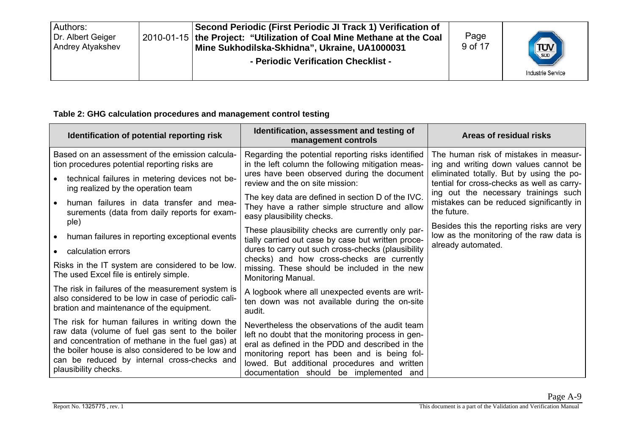| Authors:<br>Dr. Albert Geiger<br>Andrey Atyakshev |  | Second Periodic (First Periodic JI Track 1) Verification of<br>2010-01-15 the Project: "Utilization of Coal Mine Methane at the Coal<br>Mine Sukhodilska-Skhidna", Ukraine, UA1000031<br>- Periodic Verification Checklist - | Page<br>9 of 17 | <b>TUV</b><br><b>Industrie Service</b> |
|---------------------------------------------------|--|------------------------------------------------------------------------------------------------------------------------------------------------------------------------------------------------------------------------------|-----------------|----------------------------------------|
|---------------------------------------------------|--|------------------------------------------------------------------------------------------------------------------------------------------------------------------------------------------------------------------------------|-----------------|----------------------------------------|

#### **Table 2: GHG calculation procedures and management control testing**

| Identification of potential reporting risk                                                                                                                                                                                                                                         | Identification, assessment and testing of<br>management controls                                                                                                                                                                                                                                   | Areas of residual risks                                                                                     |  |
|------------------------------------------------------------------------------------------------------------------------------------------------------------------------------------------------------------------------------------------------------------------------------------|----------------------------------------------------------------------------------------------------------------------------------------------------------------------------------------------------------------------------------------------------------------------------------------------------|-------------------------------------------------------------------------------------------------------------|--|
| Based on an assessment of the emission calcula-<br>tion procedures potential reporting risks are                                                                                                                                                                                   | Regarding the potential reporting risks identified<br>in the left column the following mitigation meas-                                                                                                                                                                                            | The human risk of mistakes in measur-<br>ing and writing down values cannot be                              |  |
| technical failures in metering devices not be-<br>ing realized by the operation team                                                                                                                                                                                               | ures have been observed during the document<br>review and the on site mission:                                                                                                                                                                                                                     | eliminated totally. But by using the po-<br>tential for cross-checks as well as carry-                      |  |
| human failures in data transfer and mea-<br>surements (data from daily reports for exam-                                                                                                                                                                                           | The key data are defined in section D of the IVC.<br>They have a rather simple structure and allow<br>easy plausibility checks.                                                                                                                                                                    | ing out the necessary trainings such<br>mistakes can be reduced significantly in<br>the future.             |  |
| ple)<br>human failures in reporting exceptional events                                                                                                                                                                                                                             | These plausibility checks are currently only par-<br>tially carried out case by case but written proce-                                                                                                                                                                                            | Besides this the reporting risks are very<br>low as the monitoring of the raw data is<br>already automated. |  |
| calculation errors                                                                                                                                                                                                                                                                 | dures to carry out such cross-checks (plausibility                                                                                                                                                                                                                                                 |                                                                                                             |  |
| Risks in the IT system are considered to be low.<br>The used Excel file is entirely simple.                                                                                                                                                                                        | checks) and how cross-checks are currently<br>missing. These should be included in the new<br>Monitoring Manual.                                                                                                                                                                                   |                                                                                                             |  |
| The risk in failures of the measurement system is<br>also considered to be low in case of periodic cali-<br>bration and maintenance of the equipment.                                                                                                                              | A logbook where all unexpected events are writ-<br>ten down was not available during the on-site<br>audit.                                                                                                                                                                                         |                                                                                                             |  |
| The risk for human failures in writing down the<br>raw data (volume of fuel gas sent to the boiler<br>and concentration of methane in the fuel gas) at<br>the boiler house is also considered to be low and<br>can be reduced by internal cross-checks and<br>plausibility checks. | Nevertheless the observations of the audit team<br>left no doubt that the monitoring process in gen-<br>eral as defined in the PDD and described in the<br>monitoring report has been and is being fol-<br>lowed. But additional procedures and written<br>documentation should be implemented and |                                                                                                             |  |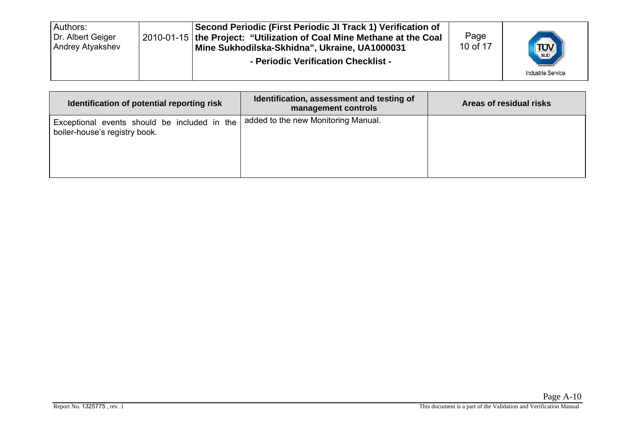| Authors:<br>Dr. Albert Geiger<br>Andrey Atyakshev |  | Second Periodic (First Periodic JI Track 1) Verification of<br>2010-01-15 the Project: "Utilization of Coal Mine Methane at the Coal<br>Mine Sukhodilska-Skhidna", Ukraine, UA1000031<br>- Periodic Verification Checklist - | Page<br>10 of 17 | <b>TUV</b><br><b>Industrie Service</b> |
|---------------------------------------------------|--|------------------------------------------------------------------------------------------------------------------------------------------------------------------------------------------------------------------------------|------------------|----------------------------------------|
|---------------------------------------------------|--|------------------------------------------------------------------------------------------------------------------------------------------------------------------------------------------------------------------------------|------------------|----------------------------------------|

| Identification of potential reporting risk                                    | Identification, assessment and testing of<br>management controls | Areas of residual risks |
|-------------------------------------------------------------------------------|------------------------------------------------------------------|-------------------------|
| Exceptional events should be included in the<br>boiler-house's registry book. | added to the new Monitoring Manual.                              |                         |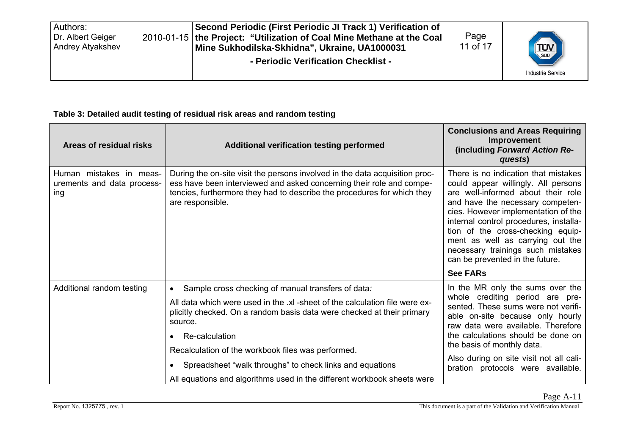| Authors:<br>Dr. Albert Geiger<br><b>Andrey Atyakshev</b> |  | Second Periodic (First Periodic JI Track 1) Verification of<br>2010-01-15   the Project: "Utilization of Coal Mine Methane at the Coal<br>Mine Sukhodilska-Skhidna", Ukraine, UA1000031<br>- Periodic Verification Checklist - | Page<br>11 of 17 | <b>TUV</b><br><b>Industrie Service</b> |
|----------------------------------------------------------|--|--------------------------------------------------------------------------------------------------------------------------------------------------------------------------------------------------------------------------------|------------------|----------------------------------------|
|----------------------------------------------------------|--|--------------------------------------------------------------------------------------------------------------------------------------------------------------------------------------------------------------------------------|------------------|----------------------------------------|

#### **Table 3: Detailed audit testing of residual risk areas and random testing**

| Areas of residual risks                                      | <b>Additional verification testing performed</b>                                                                                                                                                                                                   | <b>Conclusions and Areas Requiring</b><br>Improvement<br>(including Forward Action Re-<br>quests)                                                                                                                                                                                                                                                                                       |
|--------------------------------------------------------------|----------------------------------------------------------------------------------------------------------------------------------------------------------------------------------------------------------------------------------------------------|-----------------------------------------------------------------------------------------------------------------------------------------------------------------------------------------------------------------------------------------------------------------------------------------------------------------------------------------------------------------------------------------|
| Human mistakes in meas-<br>urements and data process-<br>ing | During the on-site visit the persons involved in the data acquisition proc-<br>ess have been interviewed and asked concerning their role and compe-<br>tencies, furthermore they had to describe the procedures for which they<br>are responsible. | There is no indication that mistakes<br>could appear willingly. All persons<br>are well-informed about their role<br>and have the necessary competen-<br>cies. However implementation of the<br>internal control procedures, installa-<br>tion of the cross-checking equip-<br>ment as well as carrying out the<br>necessary trainings such mistakes<br>can be prevented in the future. |
|                                                              |                                                                                                                                                                                                                                                    | <b>See FARs</b>                                                                                                                                                                                                                                                                                                                                                                         |
| Additional random testing                                    | Sample cross checking of manual transfers of data:<br>$\bullet$                                                                                                                                                                                    | In the MR only the sums over the                                                                                                                                                                                                                                                                                                                                                        |
|                                                              | All data which were used in the .xl -sheet of the calculation file were ex-<br>plicitly checked. On a random basis data were checked at their primary<br>source.                                                                                   | whole crediting period are pre-<br>sented. These sums were not verifi-<br>able on-site because only hourly<br>raw data were available. Therefore                                                                                                                                                                                                                                        |
|                                                              | Re-calculation                                                                                                                                                                                                                                     | the calculations should be done on                                                                                                                                                                                                                                                                                                                                                      |
|                                                              | Recalculation of the workbook files was performed.                                                                                                                                                                                                 | the basis of monthly data.                                                                                                                                                                                                                                                                                                                                                              |
|                                                              | Spreadsheet "walk throughs" to check links and equations                                                                                                                                                                                           | Also during on site visit not all cali-<br>bration protocols were available.                                                                                                                                                                                                                                                                                                            |
|                                                              | All equations and algorithms used in the different workbook sheets were                                                                                                                                                                            |                                                                                                                                                                                                                                                                                                                                                                                         |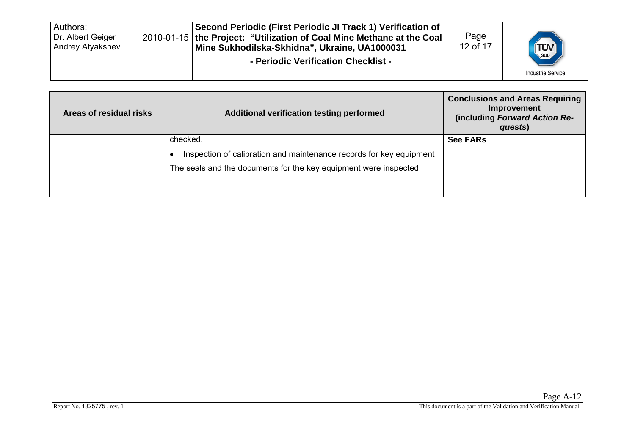| Authors:<br>Dr. Albert Geiger<br>Andrey Atyakshev |  | Second Periodic (First Periodic JI Track 1) Verification of<br>2010-01-15 the Project: "Utilization of Coal Mine Methane at the Coal<br>Mine Sukhodilska-Skhidna", Ukraine, UA1000031<br>- Periodic Verification Checklist - | Page<br>12 of 17 | <b>TUV</b><br><b>Industrie Service</b> |
|---------------------------------------------------|--|------------------------------------------------------------------------------------------------------------------------------------------------------------------------------------------------------------------------------|------------------|----------------------------------------|
|---------------------------------------------------|--|------------------------------------------------------------------------------------------------------------------------------------------------------------------------------------------------------------------------------|------------------|----------------------------------------|

| Areas of residual risks | Additional verification testing performed                                                                                                            | <b>Conclusions and Areas Requiring</b><br>Improvement<br>(including Forward Action Re-<br>quests) |
|-------------------------|------------------------------------------------------------------------------------------------------------------------------------------------------|---------------------------------------------------------------------------------------------------|
|                         | checked.<br>Inspection of calibration and maintenance records for key equipment<br>The seals and the documents for the key equipment were inspected. | <b>See FARs</b>                                                                                   |
|                         |                                                                                                                                                      |                                                                                                   |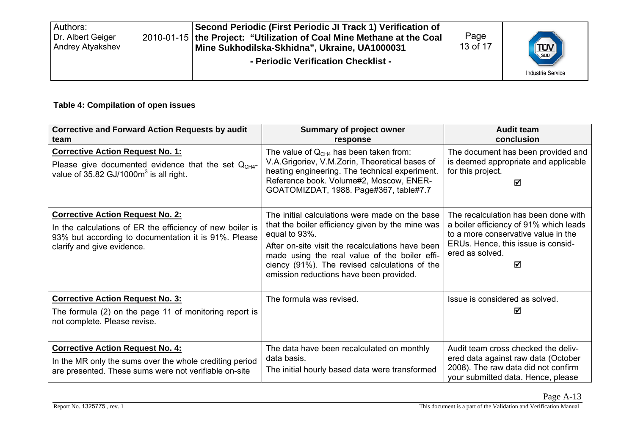| Second Periodic (First Periodic JI Track 1) Verification of<br>Authors:<br>Dr. Albert Geiger<br>2010-01-15 the Project: "Utilization of Coal Mine Methane at the Coal<br>Andrey Atyakshev<br>Mine Sukhodilska-Skhidna", Ukraine, UA1000031<br>- Periodic Verification Checklist - | Page<br>13 of 17 | <b>TUV</b><br><b>Industrie Service</b> |
|-----------------------------------------------------------------------------------------------------------------------------------------------------------------------------------------------------------------------------------------------------------------------------------|------------------|----------------------------------------|
|-----------------------------------------------------------------------------------------------------------------------------------------------------------------------------------------------------------------------------------------------------------------------------------|------------------|----------------------------------------|

#### **Table 4: Compilation of open issues**

| <b>Corrective and Forward Action Requests by audit</b><br>team                                                                                                                             | <b>Summary of project owner</b><br>response                                                                                                                                                                                                                                                                          | <b>Audit team</b><br>conclusion                                                                                                                                                     |
|--------------------------------------------------------------------------------------------------------------------------------------------------------------------------------------------|----------------------------------------------------------------------------------------------------------------------------------------------------------------------------------------------------------------------------------------------------------------------------------------------------------------------|-------------------------------------------------------------------------------------------------------------------------------------------------------------------------------------|
| <b>Corrective Action Request No. 1:</b><br>Please give documented evidence that the set $QCH4$ -<br>value of 35.82 GJ/1000 $m3$ is all right.                                              | The value of $QCH4$ has been taken from:<br>V.A. Grigoriev, V.M. Zorin, Theoretical bases of<br>heating engineering. The technical experiment.<br>Reference book. Volume#2, Moscow, ENER-<br>GOATOMIZDAT, 1988. Page#367, table#7.7                                                                                  | The document has been provided and<br>is deemed appropriate and applicable<br>for this project.<br>☑                                                                                |
| <b>Corrective Action Request No. 2:</b><br>In the calculations of ER the efficiency of new boiler is<br>93% but according to documentation it is 91%. Please<br>clarify and give evidence. | The initial calculations were made on the base<br>that the boiler efficiency given by the mine was<br>equal to 93%.<br>After on-site visit the recalculations have been<br>made using the real value of the boiler effi-<br>ciency (91%). The revised calculations of the<br>emission reductions have been provided. | The recalculation has been done with<br>a boiler efficiency of 91% which leads<br>to a more conservative value in the<br>ERUs. Hence, this issue is consid-<br>ered as solved.<br>☑ |
| <b>Corrective Action Request No. 3:</b><br>The formula (2) on the page 11 of monitoring report is<br>not complete. Please revise.                                                          | The formula was revised.                                                                                                                                                                                                                                                                                             | Issue is considered as solved.<br>М                                                                                                                                                 |
| <b>Corrective Action Request No. 4:</b><br>In the MR only the sums over the whole crediting period<br>are presented. These sums were not verifiable on-site                                | The data have been recalculated on monthly<br>data basis.<br>The initial hourly based data were transformed                                                                                                                                                                                                          | Audit team cross checked the deliv-<br>ered data against raw data (October<br>2008). The raw data did not confirm<br>your submitted data. Hence, please                             |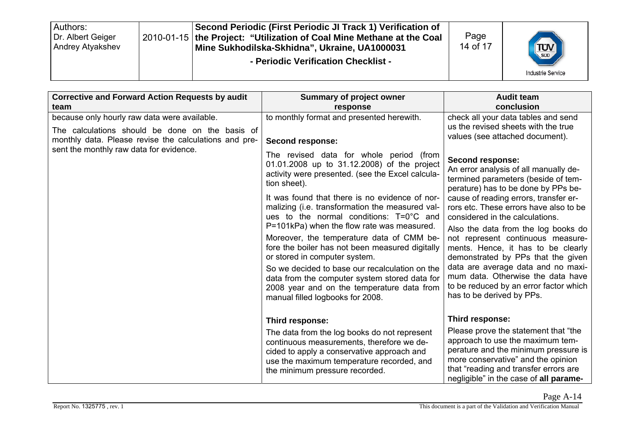| Authors:<br>Dr. Albert Geiger<br><b>Andrey Atyakshev</b> |  | Second Periodic (First Periodic JI Track 1) Verification of<br>2010-01-15 the Project: "Utilization of Coal Mine Methane at the Coal<br>Mine Sukhodilska-Skhidna", Ukraine, UA1000031<br>- Periodic Verification Checklist - | Page<br>14 of 17 | <b>TUV</b><br><b>Industrie Service</b> |
|----------------------------------------------------------|--|------------------------------------------------------------------------------------------------------------------------------------------------------------------------------------------------------------------------------|------------------|----------------------------------------|
|----------------------------------------------------------|--|------------------------------------------------------------------------------------------------------------------------------------------------------------------------------------------------------------------------------|------------------|----------------------------------------|

| <b>Corrective and Forward Action Requests by audit</b><br>team                                                                                           | <b>Summary of project owner</b>                                                                                                                                                                                                                                                                                                                                                                                                                                                                                                                                                                                                                                                         | <b>Audit team</b><br>conclusion                                                                                                                                                                                                                                                                                                                                                                                                                                                                                                                                         |
|----------------------------------------------------------------------------------------------------------------------------------------------------------|-----------------------------------------------------------------------------------------------------------------------------------------------------------------------------------------------------------------------------------------------------------------------------------------------------------------------------------------------------------------------------------------------------------------------------------------------------------------------------------------------------------------------------------------------------------------------------------------------------------------------------------------------------------------------------------------|-------------------------------------------------------------------------------------------------------------------------------------------------------------------------------------------------------------------------------------------------------------------------------------------------------------------------------------------------------------------------------------------------------------------------------------------------------------------------------------------------------------------------------------------------------------------------|
| because only hourly raw data were available.<br>The calculations should be done on the basis of<br>monthly data. Please revise the calculations and pre- | response<br>to monthly format and presented herewith.<br>Second response:                                                                                                                                                                                                                                                                                                                                                                                                                                                                                                                                                                                                               | check all your data tables and send<br>us the revised sheets with the true<br>values (see attached document).                                                                                                                                                                                                                                                                                                                                                                                                                                                           |
| sent the monthly raw data for evidence.                                                                                                                  | The revised data for whole period (from<br>01.01.2008 up to 31.12.2008) of the project<br>activity were presented. (see the Excel calcula-<br>tion sheet).<br>It was found that there is no evidence of nor-<br>malizing (i.e. transformation the measured val-<br>ues to the normal conditions: $T=0^{\circ}C$ and<br>P=101kPa) when the flow rate was measured.<br>Moreover, the temperature data of CMM be-<br>fore the boiler has not been measured digitally<br>or stored in computer system.<br>So we decided to base our recalculation on the<br>data from the computer system stored data for<br>2008 year and on the temperature data from<br>manual filled logbooks for 2008. | Second response:<br>An error analysis of all manually de-<br>termined parameters (beside of tem-<br>perature) has to be done by PPs be-<br>cause of reading errors, transfer er-<br>rors etc. These errors have also to be<br>considered in the calculations.<br>Also the data from the log books do<br>not represent continuous measure-<br>ments. Hence, it has to be clearly<br>demonstrated by PPs that the given<br>data are average data and no maxi-<br>mum data. Otherwise the data have<br>to be reduced by an error factor which<br>has to be derived by PPs. |
|                                                                                                                                                          | Third response:<br>The data from the log books do not represent<br>continuous measurements, therefore we de-                                                                                                                                                                                                                                                                                                                                                                                                                                                                                                                                                                            | Third response:<br>Please prove the statement that "the<br>approach to use the maximum tem-                                                                                                                                                                                                                                                                                                                                                                                                                                                                             |
|                                                                                                                                                          | cided to apply a conservative approach and<br>use the maximum temperature recorded, and<br>the minimum pressure recorded.                                                                                                                                                                                                                                                                                                                                                                                                                                                                                                                                                               | perature and the minimum pressure is<br>more conservative" and the opinion<br>that "reading and transfer errors are<br>negligible" in the case of all parame-                                                                                                                                                                                                                                                                                                                                                                                                           |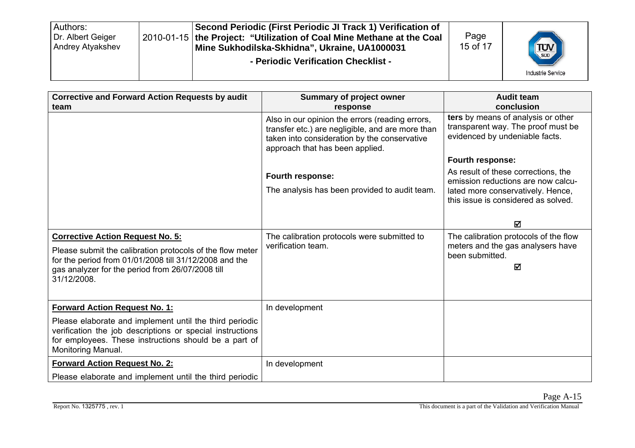| Authors:<br>Dr. Albert Geiger<br>Andrey Atyakshev |  | Second Periodic (First Periodic JI Track 1) Verification of<br>2010-01-15   the Project: "Utilization of Coal Mine Methane at the Coal<br>Mine Sukhodilska-Skhidna", Ukraine, UA1000031<br>- Periodic Verification Checklist - | Page<br>15 of 17 | <b>TUV</b><br><b>Industrie Service</b> |
|---------------------------------------------------|--|--------------------------------------------------------------------------------------------------------------------------------------------------------------------------------------------------------------------------------|------------------|----------------------------------------|
|---------------------------------------------------|--|--------------------------------------------------------------------------------------------------------------------------------------------------------------------------------------------------------------------------------|------------------|----------------------------------------|

| <b>Corrective and Forward Action Requests by audit</b><br>team                                                                                                                                                                    | Summary of project owner<br>response                                                                                                                                                   | <b>Audit team</b><br>conclusion                                                                                                                       |
|-----------------------------------------------------------------------------------------------------------------------------------------------------------------------------------------------------------------------------------|----------------------------------------------------------------------------------------------------------------------------------------------------------------------------------------|-------------------------------------------------------------------------------------------------------------------------------------------------------|
|                                                                                                                                                                                                                                   | Also in our opinion the errors (reading errors,<br>transfer etc.) are negligible, and are more than<br>taken into consideration by the conservative<br>approach that has been applied. | ters by means of analysis or other<br>transparent way. The proof must be<br>evidenced by undeniable facts.                                            |
|                                                                                                                                                                                                                                   |                                                                                                                                                                                        | Fourth response:                                                                                                                                      |
|                                                                                                                                                                                                                                   | Fourth response:<br>The analysis has been provided to audit team.                                                                                                                      | As result of these corrections, the<br>emission reductions are now calcu-<br>lated more conservatively. Hence,<br>this issue is considered as solved. |
|                                                                                                                                                                                                                                   |                                                                                                                                                                                        | 冈                                                                                                                                                     |
| <b>Corrective Action Request No. 5:</b><br>Please submit the calibration protocols of the flow meter<br>for the period from 01/01/2008 till 31/12/2008 and the<br>gas analyzer for the period from 26/07/2008 till<br>31/12/2008. | The calibration protocols were submitted to<br>verification team.                                                                                                                      | The calibration protocols of the flow<br>meters and the gas analysers have<br>been submitted.<br>☑                                                    |
| <b>Forward Action Request No. 1:</b>                                                                                                                                                                                              | In development                                                                                                                                                                         |                                                                                                                                                       |
| Please elaborate and implement until the third periodic<br>verification the job descriptions or special instructions<br>for employees. These instructions should be a part of<br>Monitoring Manual.                               |                                                                                                                                                                                        |                                                                                                                                                       |
| <b>Forward Action Request No. 2:</b>                                                                                                                                                                                              | In development                                                                                                                                                                         |                                                                                                                                                       |
| Please elaborate and implement until the third periodic                                                                                                                                                                           |                                                                                                                                                                                        |                                                                                                                                                       |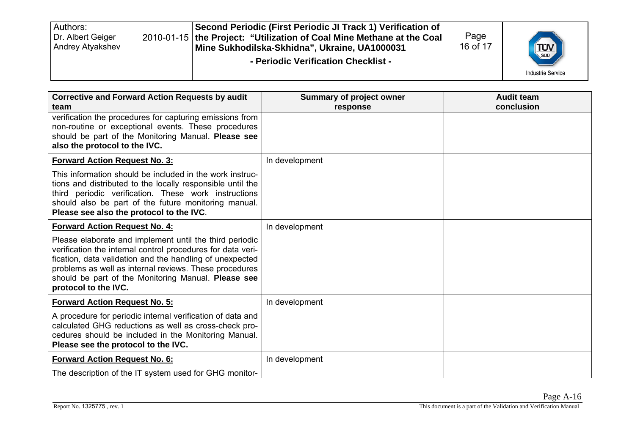| Authors:<br>Dr. Albert Geiger<br>Andrey Atyakshev |  | Second Periodic (First Periodic JI Track 1) Verification of<br>2010-01-15 the Project: "Utilization of Coal Mine Methane at the Coal<br>Mine Sukhodilska-Skhidna", Ukraine, UA1000031<br>- Periodic Verification Checklist - | Page<br>16 of 17 | <b>TUV</b><br><b>Industrie Service</b> |
|---------------------------------------------------|--|------------------------------------------------------------------------------------------------------------------------------------------------------------------------------------------------------------------------------|------------------|----------------------------------------|
|---------------------------------------------------|--|------------------------------------------------------------------------------------------------------------------------------------------------------------------------------------------------------------------------------|------------------|----------------------------------------|

| <b>Corrective and Forward Action Requests by audit</b><br>team                                                                                                                                                                                                                                                              | <b>Summary of project owner</b><br>response | <b>Audit team</b><br>conclusion |
|-----------------------------------------------------------------------------------------------------------------------------------------------------------------------------------------------------------------------------------------------------------------------------------------------------------------------------|---------------------------------------------|---------------------------------|
| verification the procedures for capturing emissions from<br>non-routine or exceptional events. These procedures<br>should be part of the Monitoring Manual. Please see<br>also the protocol to the IVC.                                                                                                                     |                                             |                                 |
| <b>Forward Action Request No. 3:</b>                                                                                                                                                                                                                                                                                        | In development                              |                                 |
| This information should be included in the work instruc-<br>tions and distributed to the locally responsible until the<br>third periodic verification. These work instructions<br>should also be part of the future monitoring manual.<br>Please see also the protocol to the IVC.                                          |                                             |                                 |
| <b>Forward Action Request No. 4:</b>                                                                                                                                                                                                                                                                                        | In development                              |                                 |
| Please elaborate and implement until the third periodic<br>verification the internal control procedures for data veri-<br>fication, data validation and the handling of unexpected<br>problems as well as internal reviews. These procedures<br>should be part of the Monitoring Manual. Please see<br>protocol to the IVC. |                                             |                                 |
| <b>Forward Action Request No. 5:</b>                                                                                                                                                                                                                                                                                        | In development                              |                                 |
| A procedure for periodic internal verification of data and<br>calculated GHG reductions as well as cross-check pro-<br>cedures should be included in the Monitoring Manual.<br>Please see the protocol to the IVC.                                                                                                          |                                             |                                 |
| <b>Forward Action Request No. 6:</b>                                                                                                                                                                                                                                                                                        | In development                              |                                 |
| The description of the IT system used for GHG monitor-                                                                                                                                                                                                                                                                      |                                             |                                 |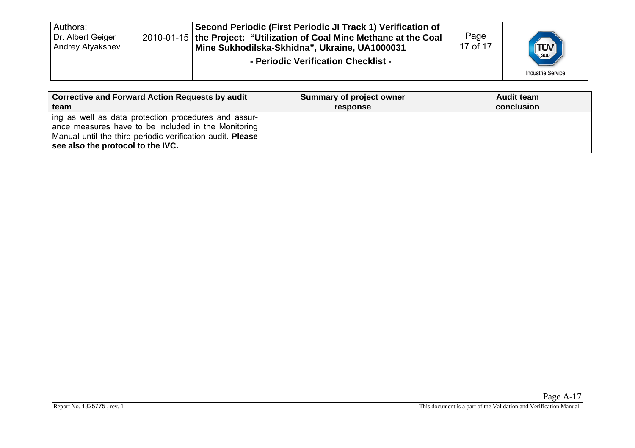| <b>Corrective and Forward Action Requests by audit</b>                                                                                                                                                         | Summary of project owner | <b>Audit team</b> |
|----------------------------------------------------------------------------------------------------------------------------------------------------------------------------------------------------------------|--------------------------|-------------------|
| team                                                                                                                                                                                                           | response                 | conclusion        |
| ing as well as data protection procedures and assur-<br>ance measures have to be included in the Monitoring<br>Manual until the third periodic verification audit. Please<br>see also the protocol to the IVC. |                          |                   |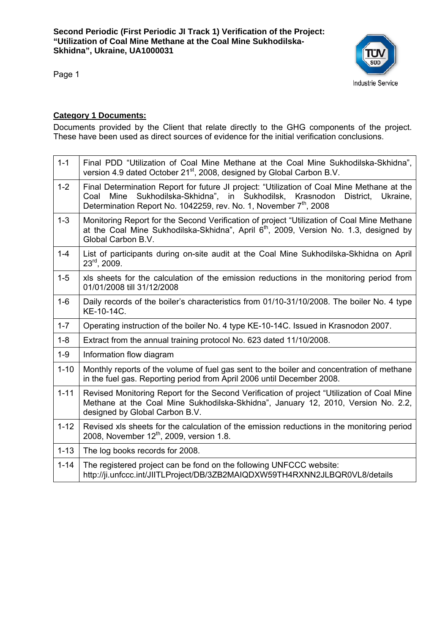

Page 1

#### **Category 1 Documents:**

Documents provided by the Client that relate directly to the GHG components of the project. These have been used as direct sources of evidence for the initial verification conclusions.

| $1 - 1$  | Final PDD "Utilization of Coal Mine Methane at the Coal Mine Sukhodilska-Skhidna",<br>version 4.9 dated October 21 <sup>st</sup> , 2008, designed by Global Carbon B.V.                                                                                                   |
|----------|---------------------------------------------------------------------------------------------------------------------------------------------------------------------------------------------------------------------------------------------------------------------------|
| $1 - 2$  | Final Determination Report for future JI project: "Utilization of Coal Mine Methane at the<br>Sukhodilska-Skhidna", in Sukhodilsk,<br>Krasnodon<br>Mine<br>District.<br>Coal<br>Ukraine,<br>Determination Report No. 1042259, rev. No. 1, November 7 <sup>th</sup> , 2008 |
| $1 - 3$  | Monitoring Report for the Second Verification of project "Utilization of Coal Mine Methane"<br>at the Coal Mine Sukhodilska-Skhidna", April 6 <sup>th</sup> , 2009, Version No. 1.3, designed by<br>Global Carbon B.V.                                                    |
| $1 - 4$  | List of participants during on-site audit at the Coal Mine Sukhodilska-Skhidna on April<br>$23^{\text{rd}}$ , 2009.                                                                                                                                                       |
| $1 - 5$  | xls sheets for the calculation of the emission reductions in the monitoring period from<br>01/01/2008 till 31/12/2008                                                                                                                                                     |
| $1 - 6$  | Daily records of the boiler's characteristics from 01/10-31/10/2008. The boiler No. 4 type<br>KE-10-14C.                                                                                                                                                                  |
| $1 - 7$  | Operating instruction of the boiler No. 4 type KE-10-14C. Issued in Krasnodon 2007.                                                                                                                                                                                       |
| $1 - 8$  | Extract from the annual training protocol No. 623 dated 11/10/2008.                                                                                                                                                                                                       |
| $1 - 9$  | Information flow diagram                                                                                                                                                                                                                                                  |
| $1 - 10$ | Monthly reports of the volume of fuel gas sent to the boiler and concentration of methane<br>in the fuel gas. Reporting period from April 2006 until December 2008.                                                                                                       |
| $1 - 11$ | Revised Monitoring Report for the Second Verification of project "Utilization of Coal Mine<br>Methane at the Coal Mine Sukhodilska-Skhidna", January 12, 2010, Version No. 2.2,<br>designed by Global Carbon B.V.                                                         |
| $1 - 12$ | Revised xls sheets for the calculation of the emission reductions in the monitoring period<br>2008, November 12 <sup>th</sup> , 2009, version 1.8.                                                                                                                        |
| $1 - 13$ | The log books records for 2008.                                                                                                                                                                                                                                           |
| $1 - 14$ | The registered project can be fond on the following UNFCCC website:<br>http://ji.unfccc.int/JIITLProject/DB/3ZB2MAIQDXW59TH4RXNN2JLBQR0VL8/details                                                                                                                        |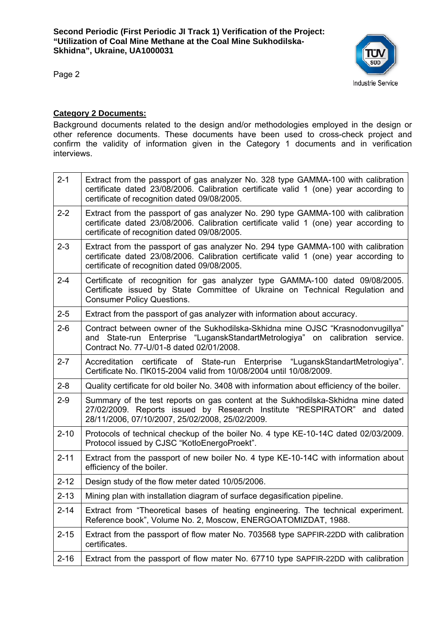

Page 2

#### **Category 2 Documents:**

Background documents related to the design and/or methodologies employed in the design or other reference documents. These documents have been used to cross-check project and confirm the validity of information given in the Category 1 documents and in verification interviews.

| $2 - 1$  | Extract from the passport of gas analyzer No. 328 type GAMMA-100 with calibration<br>certificate dated 23/08/2006. Calibration certificate valid 1 (one) year according to<br>certificate of recognition dated 09/08/2005. |
|----------|----------------------------------------------------------------------------------------------------------------------------------------------------------------------------------------------------------------------------|
| $2 - 2$  | Extract from the passport of gas analyzer No. 290 type GAMMA-100 with calibration<br>certificate dated 23/08/2006. Calibration certificate valid 1 (one) year according to<br>certificate of recognition dated 09/08/2005. |
| $2 - 3$  | Extract from the passport of gas analyzer No. 294 type GAMMA-100 with calibration<br>certificate dated 23/08/2006. Calibration certificate valid 1 (one) year according to<br>certificate of recognition dated 09/08/2005. |
| $2 - 4$  | Certificate of recognition for gas analyzer type GAMMA-100 dated 09/08/2005.<br>Certificate issued by State Committee of Ukraine on Technical Regulation and<br><b>Consumer Policy Questions.</b>                          |
| $2 - 5$  | Extract from the passport of gas analyzer with information about accuracy.                                                                                                                                                 |
| $2 - 6$  | Contract between owner of the Sukhodilska-Skhidna mine OJSC "Krasnodonvugillya"<br>and State-run Enterprise "LuganskStandartMetrologiya" on calibration service.<br>Contract No. 77-U/01-8 dated 02/01/2008.               |
| $2 - 7$  | Accreditation certificate of State-run Enterprise "LuganskStandartMetrologiya".<br>Certificate No. $\Pi$ K015-2004 valid from 10/08/2004 until 10/08/2009.                                                                 |
| $2 - 8$  | Quality certificate for old boiler No. 3408 with information about efficiency of the boiler.                                                                                                                               |
| $2 - 9$  | Summary of the test reports on gas content at the Sukhodilska-Skhidna mine dated<br>27/02/2009. Reports issued by Research Institute "RESPIRATOR" and dated<br>28/11/2006, 07/10/2007, 25/02/2008, 25/02/2009.             |
| $2 - 10$ | Protocols of technical checkup of the boiler No. 4 type KE-10-14C dated 02/03/2009.<br>Protocol issued by CJSC "KotloEnergoProekt".                                                                                        |
| $2 - 11$ | Extract from the passport of new boiler No. 4 type KE-10-14C with information about<br>efficiency of the boiler.                                                                                                           |
| $2 - 12$ | Design study of the flow meter dated 10/05/2006.                                                                                                                                                                           |
| $2 - 13$ | Mining plan with installation diagram of surface degasification pipeline.                                                                                                                                                  |
| $2 - 14$ | Extract from "Theoretical bases of heating engineering. The technical experiment.<br>Reference book", Volume No. 2, Moscow, ENERGOATOMIZDAT, 1988.                                                                         |
| $2 - 15$ | Extract from the passport of flow mater No. 703568 type SAPFIR-22DD with calibration<br>certificates.                                                                                                                      |
| $2 - 16$ | Extract from the passport of flow mater No. 67710 type SAPFIR-22DD with calibration                                                                                                                                        |